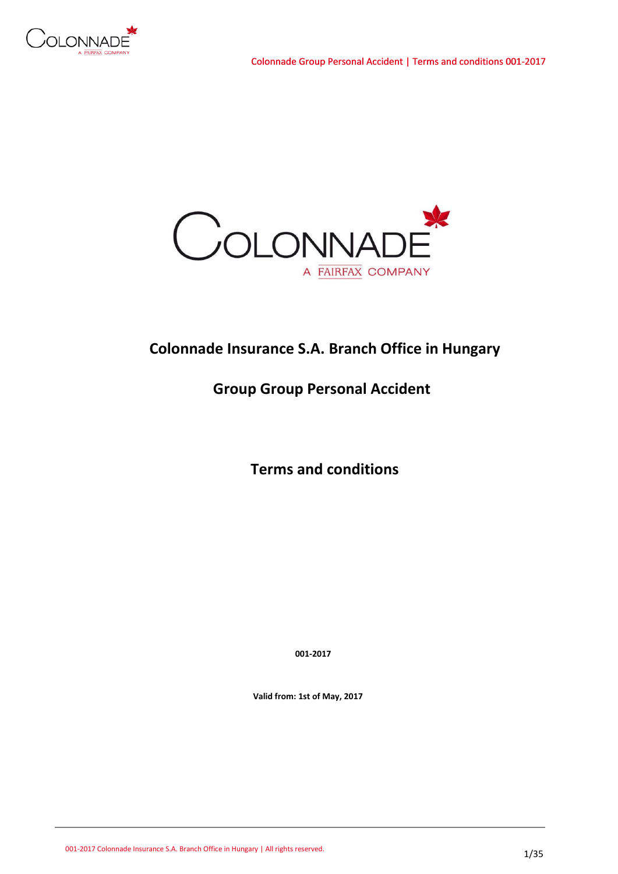



# **Colonnade Insurance S.A. Branch Office in Hungary**

# **Group Group Personal Accident**

 **Terms and conditions**

 **001-2017**

 **Valid from: 1st of May, 2017**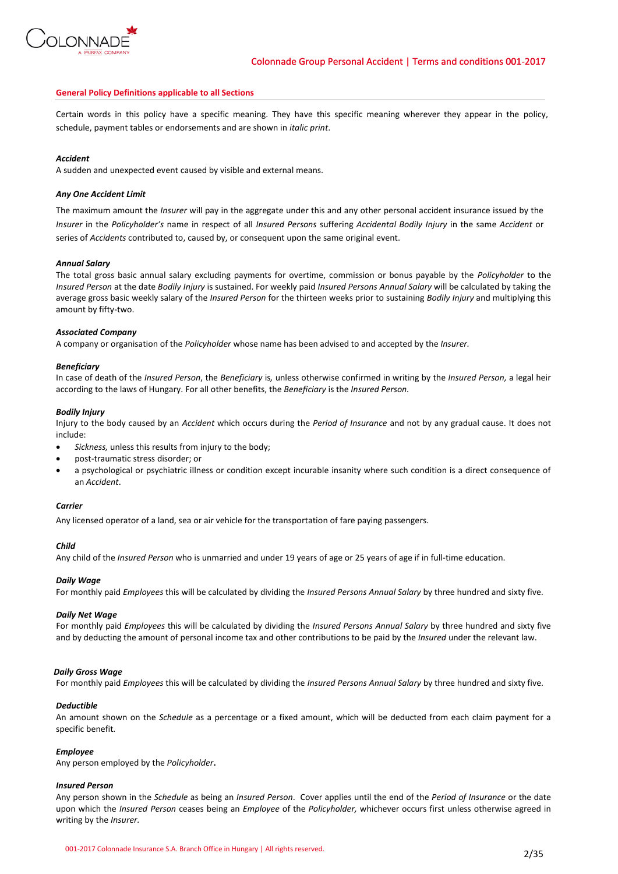

### **General Policy Definitions applicable to all Sections**

Certain words in this policy have a specific meaning. They have this specific meaning wherever they appear in the policy, schedule, payment tables or endorsements and are shown in *italic print*.

### *Accident*

A sudden and unexpected event caused by visible and external means.

### *Any One Accident Limit*

The maximum amount the *Insurer* will pay in the aggregate under this and any other personal accident insurance issued by the *Insurer* in the *Policyholder's* name in respect of all *Insured Persons* suffering *Accidental Bodily Injury* in the same *Accident* or series of *Accidents* contributed to, caused by, or consequent upon the same original event.

### *Annual Salary*

The total gross basic annual salary excluding payments for overtime, commission or bonus payable by the *Policyholder* to the *Insured Person* at the date *Bodily Injury* is sustained. For weekly paid *Insured Persons Annual Salary* will be calculated by taking the average gross basic weekly salary of the *Insured Person* for the thirteen weeks prior to sustaining *Bodily Injury* and multiplying this amount by fifty-two.

### *Associated Company*

A company or organisation of the *Policyholder* whose name has been advised to and accepted by the *Insurer.*

### *Beneficiary*

In case of death of the *Insured Person*, the *Beneficiary* is*,* unless otherwise confirmed in writing by the *Insured Person,* a legal heir according to the laws of Hungary. For all other benefits, the *Beneficiary* is the *Insured Person.*

### *Bodily Injury*

Injury to the body caused by an *Accident* which occurs during the *Period of Insurance* and not by any gradual cause. It does not include:

- *Sickness,* unless this results from injury to the body;
- post-traumatic stress disorder; or
- a psychological or psychiatric illness or condition except incurable insanity where such condition is a direct consequence of an *Accident*.

### *Carrier*

Any licensed operator of a land, sea or air vehicle for the transportation of fare paying passengers.

### *Child*

Any child of the *Insured Person* who is unmarried and under 19 years of age or 25 years of age if in full-time education.

### *Daily Wage*

For monthly paid *Employees* this will be calculated by dividing the *Insured Persons Annual Salary* by three hundred and sixty five.

### *Daily Net Wage*

For monthly paid *Employees* this will be calculated by dividing the *Insured Persons Annual Salary* by three hundred and sixty five and by deducting the amount of personal income tax and other contributions to be paid by the *Insured* under the relevant law.

### *Daily Gross Wage*

For monthly paid *Employees* this will be calculated by dividing the *Insured Persons Annual Salary* by three hundred and sixty five.

#### *Deductible*

An amount shown on the *Schedule* as a percentage or a fixed amount, which will be deducted from each claim payment for a specific benefit*.*

#### *Employee*

Any person employed by the *Policyholder***.**

#### *Insured Person*

Any person shown in the *Schedule* as being an *Insured Person*. Cover applies until the end of the *Period of Insurance* or the date upon which the *Insured Person* ceases being an *Employee* of the *Policyholder,* whichever occurs first unless otherwise agreed in writing by the *Insurer.*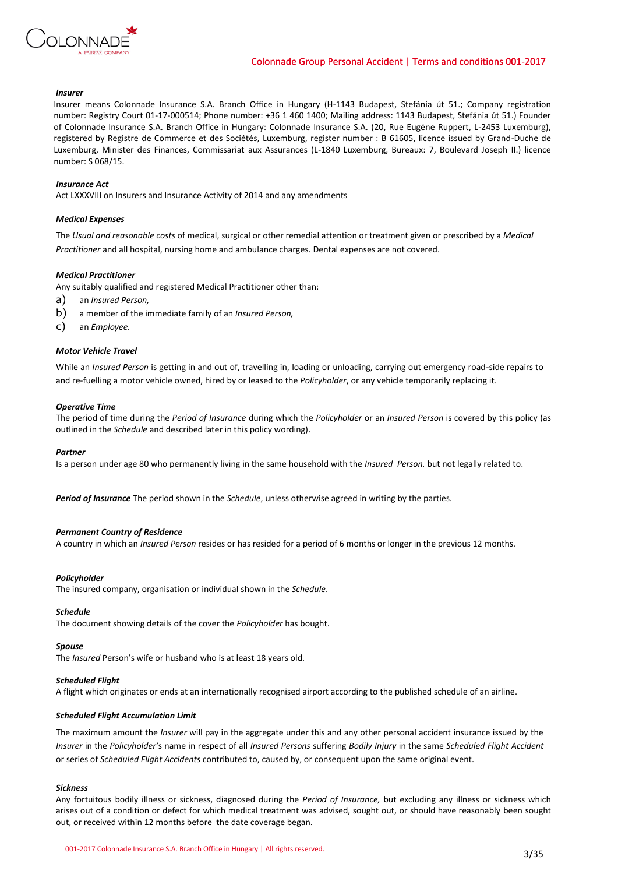

### *Insurer*

Insurer means Colonnade Insurance S.A. Branch Office in Hungary (H-1143 Budapest, Stefánia út 51.; Company registration number: Registry Court 01-17-000514; Phone number: +36 1 460 1400; Mailing address: 1143 Budapest, Stefánia út 51.) Founder of Colonnade Insurance S.A. Branch Office in Hungary: Colonnade Insurance S.A. (20, Rue Eugéne Ruppert, L-2453 Luxemburg), registered by Registre de Commerce et des Sociétés, Luxemburg, register number : B 61605, licence issued by Grand-Duche de Luxemburg, Minister des Finances, Commissariat aux Assurances (L-1840 Luxemburg, Bureaux: 7, Boulevard Joseph II.) licence number: S 068/15.

### *Insurance Act*

Act LXXXVIII on Insurers and Insurance Activity of 2014 and any amendments

### *Medical Expenses*

The *Usual and reasonable costs* of medical, surgical or other remedial attention or treatment given or prescribed by a *Medical Practitioner* and all hospital, nursing home and ambulance charges. Dental expenses are not covered.

### *Medical Practitioner*

Any suitably qualified and registered Medical Practitioner other than:

- a) an *Insured Person,*
- b) a member of the immediate family of an *Insured Person,*
- c) an *Employee.*

### *Motor Vehicle Travel*

While an *Insured Person* is getting in and out of, travelling in, loading or unloading, carrying out emergency road-side repairs to and re-fuelling a motor vehicle owned, hired by or leased to the *Policyholder*, or any vehicle temporarily replacing it.

#### *Operative Time*

The period of time during the *Period of Insurance* during which the *Policyholder* or an *Insured Person* is covered by this policy (as outlined in the *Schedule* and described later in this policy wording).

### *Partner*

Is a person under age 80 who permanently living in the same household with the *Insured Person.* but not legally related to.

*Period of Insurance* The period shown in the *Schedule*, unless otherwise agreed in writing by the parties.

### *Permanent Country of Residence*

A country in which an *Insured Person* resides or has resided for a period of 6 months or longer in the previous 12 months.

#### *Policyholder*

The insured company, organisation or individual shown in the *Schedule*.

### *Schedule*

The document showing details of the cover the *Policyholder* has bought.

### *Spouse*

The *Insured* Person's wife or husband who is at least 18 years old.

### *Scheduled Flight*

A flight which originates or ends at an internationally recognised airport according to the published schedule of an airline.

### *Scheduled Flight Accumulation Limit*

The maximum amount the *Insurer* will pay in the aggregate under this and any other personal accident insurance issued by the *Insurer* in the *Policyholder'*s name in respect of all *Insured Persons* suffering *Bodily Injury* in the same *Scheduled Flight Accident*  or series of *Scheduled Flight Accidents* contributed to, caused by, or consequent upon the same original event.

#### *Sickness*

Any fortuitous bodily illness or sickness, diagnosed during the *Period of Insurance,* but excluding any illness or sickness which arises out of a condition or defect for which medical treatment was advised, sought out, or should have reasonably been sought out, or received within 12 months before the date coverage began.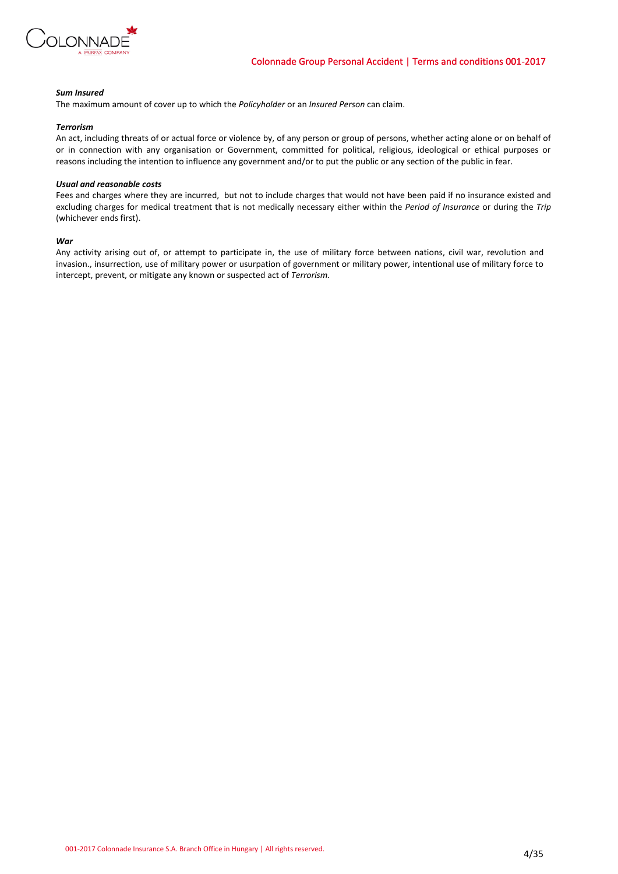

# *Sum Insured*

The maximum amount of cover up to which the *Policyholder* or an *Insured Person* can claim.

### *Terrorism*

An act, including threats of or actual force or violence by, of any person or group of persons, whether acting alone or on behalf of or in connection with any organisation or Government, committed for political, religious, ideological or ethical purposes or reasons including the intention to influence any government and/or to put the public or any section of the public in fear.

### *Usual and reasonable costs*

Fees and charges where they are incurred, but not to include charges that would not have been paid if no insurance existed and excluding charges for medical treatment that is not medically necessary either within the *Period of Insurance* or during the *Trip*  (whichever ends first).

### *War*

Any activity arising out of, or attempt to participate in, the use of military force between nations, civil war, revolution and invasion., insurrection, use of military power or usurpation of government or military power, intentional use of military force to intercept, prevent, or mitigate any known or suspected act of *Terrorism.*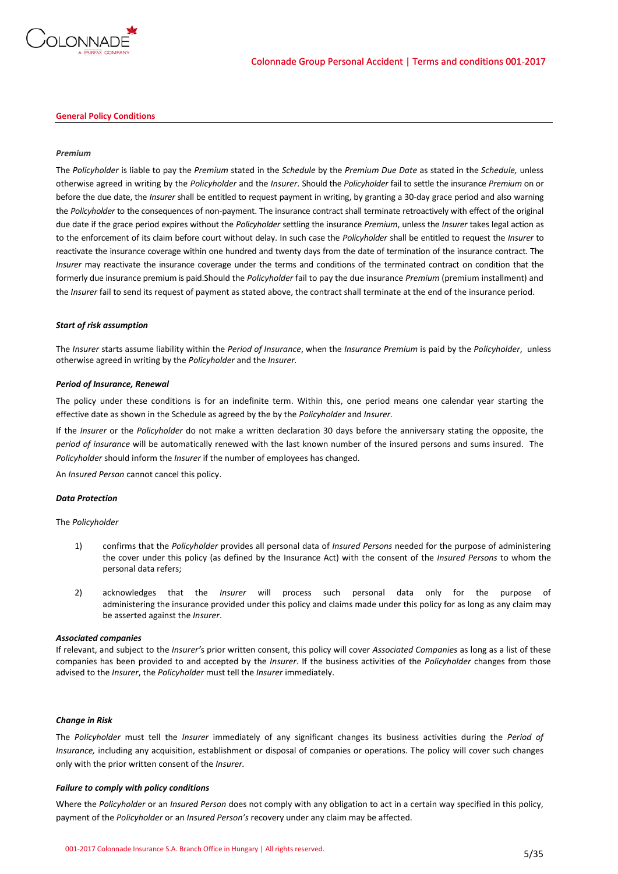

### **General Policy Conditions**

### *Premium*

The *Policyholder* is liable to pay the *Premium* stated in the *Schedule* by the *Premium Due Date* as stated in the *Schedule,* unless otherwise agreed in writing by the *Policyholder* and the *Insurer*. Should the *Policyholder* fail to settle the insurance *Premium* on or before the due date, the *Insurer* shall be entitled to request payment in writing, by granting a 30-day grace period and also warning the *Policyholder* to the consequences of non-payment. The insurance contract shall terminate retroactively with effect of the original due date if the grace period expires without the *Policyholder* settling the insurance *Premium*, unless the *Insurer* takes legal action as to the enforcement of its claim before court without delay. In such case the *Policyholder* shall be entitled to request the *Insurer* to reactivate the insurance coverage within one hundred and twenty days from the date of termination of the insurance contract. The *Insurer* may reactivate the insurance coverage under the terms and conditions of the terminated contract on condition that the formerly due insurance premium is paid.Should the *Policyholder* fail to pay the due insurance *Premium* (premium installment) and the *Insurer* fail to send its request of payment as stated above, the contract shall terminate at the end of the insurance period.

### *Start of risk assumption*

The *Insurer* starts assume liability within the *Period of Insurance*, when the *Insurance Premium* is paid by the *Policyholder*, unless otherwise agreed in writing by the *Policyholder* and the *Insurer.*

### *Period of Insurance, Renewal*

The policy under these conditions is for an indefinite term. Within this, one period means one calendar year starting the effective date as shown in the Schedule as agreed by the by the *Policyholder* and *Insurer.*

If the *Insurer* or the *Policyholder* do not make a written declaration 30 days before the anniversary stating the opposite, the *period of insurance* will be automatically renewed with the last known number of the insured persons and sums insured. The *Policyholder* should inform the *Insurer* if the number of employees has changed.

An *Insured Person* cannot cancel this policy.

### *Data Protection*

### The *Policyholder*

- 1) confirms that the *Policyholder* provides all personal data of *Insured Persons* needed for the purpose of administering the cover under this policy (as defined by the Insurance Act) with the consent of the *Insured Persons* to whom the personal data refers;
- 2) acknowledges that the *Insurer* will process such personal data only for the purpose of administering the insurance provided under this policy and claims made under this policy for as long as any claim may be asserted against the *Insurer*.

### *Associated companies*

If relevant, and subject to the *Insurer'*s prior written consent, this policy will cover *Associated Companies* as long as a list of these companies has been provided to and accepted by the *Insurer*. If the business activities of the *Policyholder* changes from those advised to the *Insurer*, the *Policyholder* must tell the *Insurer* immediately.

### *Change in Risk*

The *Policyholder* must tell the *Insurer* immediately of any significant changes its business activities during the *Period of Insurance,* including any acquisition, establishment or disposal of companies or operations. The policy will cover such changes only with the prior written consent of the *Insurer.*

### *Failure to comply with policy conditions*

Where the *Policyholder* or an *Insured Person* does not comply with any obligation to act in a certain way specified in this policy, payment of the *Policyholder* or an *Insured Person's* recovery under any claim may be affected.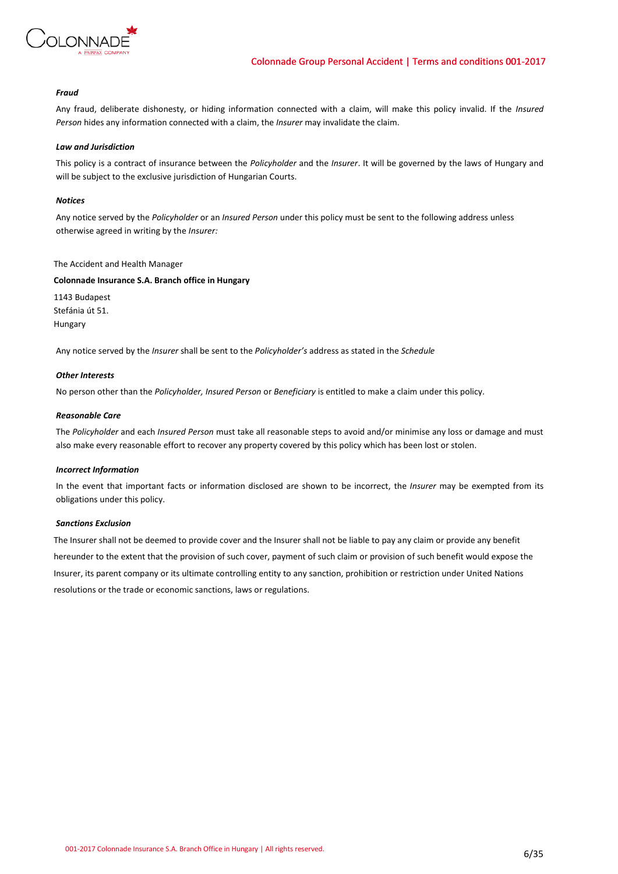

# *Fraud*

Any fraud, deliberate dishonesty, or hiding information connected with a claim, will make this policy invalid. If the *Insured Person* hides any information connected with a claim, the *Insurer* may invalidate the claim.

# *Law and Jurisdiction*

This policy is a contract of insurance between the *Policyholder* and the *Insurer*. It will be governed by the laws of Hungary and will be subject to the exclusive jurisdiction of Hungarian Courts.

# *Notices*

Any notice served by the *Policyholder* or an *Insured Person* under this policy must be sent to the following address unless otherwise agreed in writing by the *Insurer:*

# The Accident and Health Manager

# **Colonnade Insurance S.A. Branch office in Hungary**

1143 Budapest Stefánia út 51. Hungary

Any notice served by the *Insurer* shall be sent to the *Policyholder's* address as stated in the *Schedule*

# *Other Interests*

No person other than the *Policyholder, Insured Person* or *Beneficiary* is entitled to make a claim under this policy.

# *Reasonable Care*

The *Policyholder* and each *Insured Person* must take all reasonable steps to avoid and/or minimise any loss or damage and must also make every reasonable effort to recover any property covered by this policy which has been lost or stolen.

# *Incorrect Information*

In the event that important facts or information disclosed are shown to be incorrect, the *Insurer* may be exempted from its obligations under this policy.

### *Sanctions Exclusion*

The Insurer shall not be deemed to provide cover and the Insurer shall not be liable to pay any claim or provide any benefit hereunder to the extent that the provision of such cover, payment of such claim or provision of such benefit would expose the Insurer, its parent company or its ultimate controlling entity to any sanction, prohibition or restriction under United Nations resolutions or the trade or economic sanctions, laws or regulations.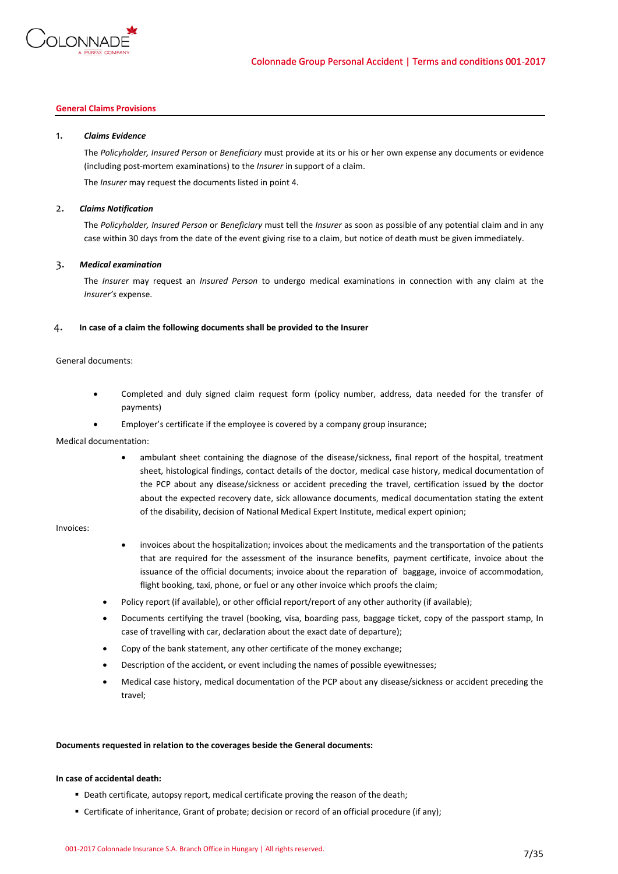

# **General Claims Provisions**

# 1. *Claims Evidence*

The *Policyholder, Insured Person* or *Beneficiary* must provide at its or his or her own expense any documents or evidence (including post-mortem examinations) to the *Insurer* in support of a claim.

The *Insurer* may request the documents listed in point 4.

# 2. *Claims Notification*

The *Policyholder, Insured Person* or *Beneficiary* must tell the *Insurer* as soon as possible of any potential claim and in any case within 30 days from the date of the event giving rise to a claim, but notice of death must be given immediately.

# 3. *Medical examination*

The *Insurer* may request an *Insured Person* to undergo medical examinations in connection with any claim at the *Insurer's* expense.

# 4. **In case of a claim the following documents shall be provided to the Insurer**

### General documents:

- Completed and duly signed claim request form (policy number, address, data needed for the transfer of payments)
- Employer's certificate if the employee is covered by a company group insurance;

### Medical documentation:

 ambulant sheet containing the diagnose of the disease/sickness, final report of the hospital, treatment sheet, histological findings, contact details of the doctor, medical case history, medical documentation of the PCP about any disease/sickness or accident preceding the travel, certification issued by the doctor about the expected recovery date, sick allowance documents, medical documentation stating the extent of the disability, decision of National Medical Expert Institute, medical expert opinion;

# Invoices:

- invoices about the hospitalization; invoices about the medicaments and the transportation of the patients that are required for the assessment of the insurance benefits, payment certificate, invoice about the issuance of the official documents; invoice about the reparation of baggage, invoice of accommodation, flight booking, taxi, phone, or fuel or any other invoice which proofs the claim;
- Policy report (if available), or other official report/report of any other authority (if available);
- Documents certifying the travel (booking, visa, boarding pass, baggage ticket, copy of the passport stamp, In case of travelling with car, declaration about the exact date of departure);
- Copy of the bank statement, any other certificate of the money exchange;
- Description of the accident, or event including the names of possible eyewitnesses;
- Medical case history, medical documentation of the PCP about any disease/sickness or accident preceding the travel;

### **Documents requested in relation to the coverages beside the General documents:**

# **In case of accidental death:**

- Death certificate, autopsy report, medical certificate proving the reason of the death;
- Certificate of inheritance, Grant of probate; decision or record of an official procedure (if any);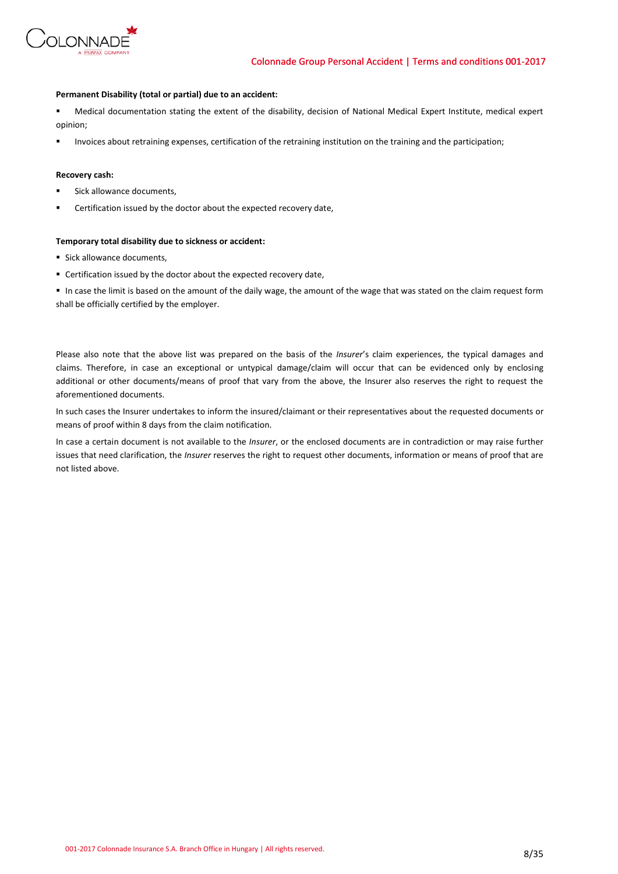

# **Permanent Disability (total or partial) due to an accident:**

 Medical documentation stating the extent of the disability, decision of National Medical Expert Institute, medical expert opinion;

Invoices about retraining expenses, certification of the retraining institution on the training and the participation;

# **Recovery cash:**

- Sick allowance documents,
- Certification issued by the doctor about the expected recovery date,

### **Temporary total disability due to sickness or accident:**

- **Sick allowance documents,**
- Certification issued by the doctor about the expected recovery date,

 In case the limit is based on the amount of the daily wage, the amount of the wage that was stated on the claim request form shall be officially certified by the employer.

Please also note that the above list was prepared on the basis of the *Insurer*'s claim experiences, the typical damages and claims. Therefore, in case an exceptional or untypical damage/claim will occur that can be evidenced only by enclosing additional or other documents/means of proof that vary from the above, the Insurer also reserves the right to request the aforementioned documents.

In such cases the Insurer undertakes to inform the insured/claimant or their representatives about the requested documents or means of proof within 8 days from the claim notification.

In case a certain document is not available to the *Insurer*, or the enclosed documents are in contradiction or may raise further issues that need clarification, the *Insurer* reserves the right to request other documents, information or means of proof that are not listed above.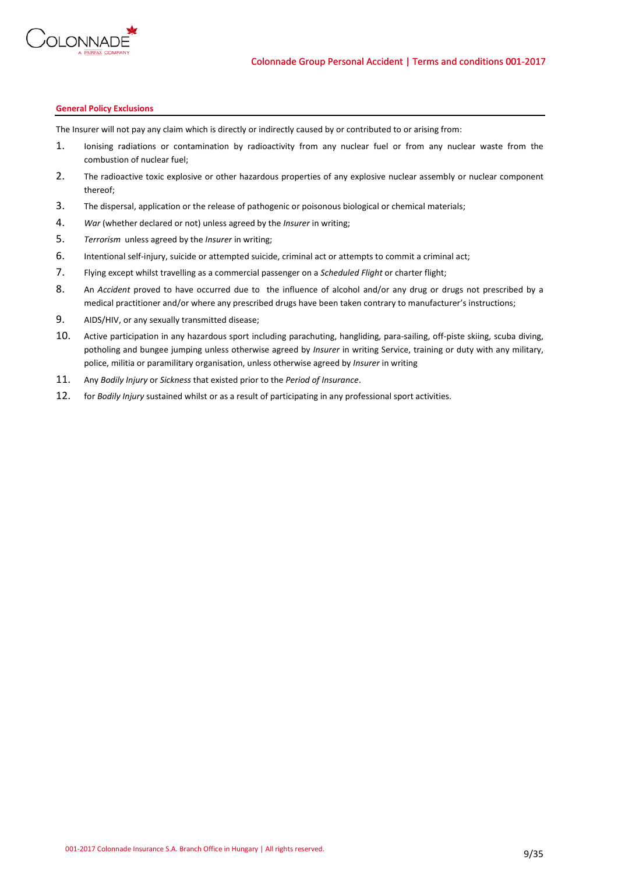

# **General Policy Exclusions**

The Insurer will not pay any claim which is directly or indirectly caused by or contributed to or arising from:

- 1. Ionising radiations or contamination by radioactivity from any nuclear fuel or from any nuclear waste from the combustion of nuclear fuel;
- 2. The radioactive toxic explosive or other hazardous properties of any explosive nuclear assembly or nuclear component thereof;
- 3. The dispersal, application or the release of pathogenic or poisonous biological or chemical materials;
- 4. *War* (whether declared or not) unless agreed by the *Insurer* in writing;
- 5. *Terrorism* unless agreed by the *Insurer* in writing;
- 6. Intentional self-injury, suicide or attempted suicide, criminal act or attempts to commit a criminal act;
- 7. Flying except whilst travelling as a commercial passenger on a *Scheduled Flight* or charter flight;
- 8. An *Accident* proved to have occurred due to the influence of alcohol and/or any drug or drugs not prescribed by a medical practitioner and/or where any prescribed drugs have been taken contrary to manufacturer's instructions;
- 9. AIDS/HIV, or any sexually transmitted disease;
- 10. Active participation in any hazardous sport including parachuting, hangliding, para-sailing, off-piste skiing, scuba diving, potholing and bungee jumping unless otherwise agreed by *Insurer* in writing Service, training or duty with any military, police, militia or paramilitary organisation, unless otherwise agreed by *Insurer* in writing
- 11. Any *Bodily Injury* or *Sickness* that existed prior to the *Period of Insurance*.
- 12. for *Bodily Injury* sustained whilst or as a result of participating in any professional sport activities.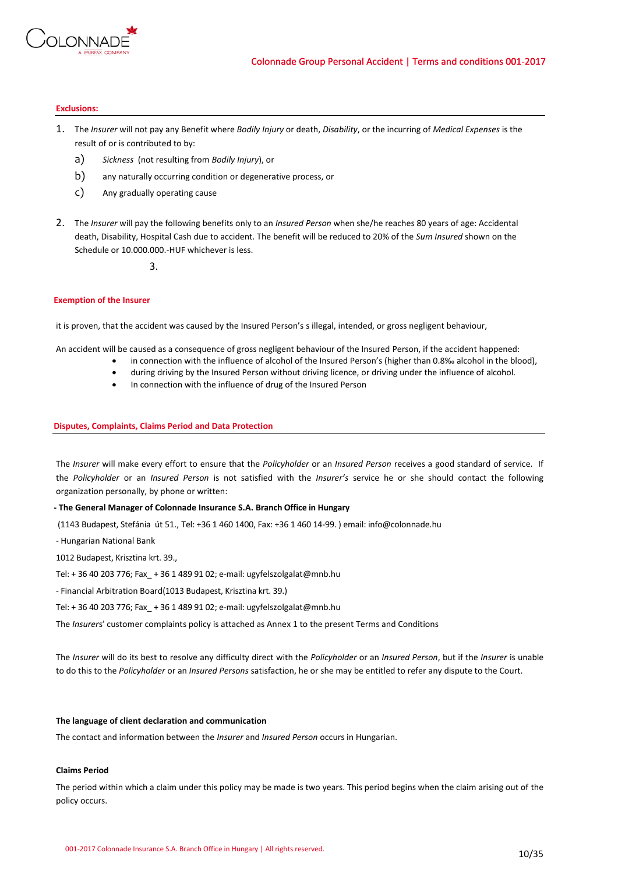

# **Exclusions:**

- 1. The *Insurer* will not pay any Benefit where *Bodily Injury* or death, *Disability*, or the incurring of *Medical Expenses* is the result of or is contributed to by:
	- a) *Sickness* (not resulting from *Bodily Injury*), or
	- b) any naturally occurring condition or degenerative process, or
	- c) Any gradually operating cause
- 2. The *Insurer* will pay the following benefits only to an *Insured Person* when she/he reaches 80 years of age: Accidental death, Disability, Hospital Cash due to accident. The benefit will be reduced to 20% of the *Sum Insured* shown on the Schedule or 10.000.000.-HUF whichever is less.

### 3.

# **Exemption of the Insurer**

it is proven, that the accident was caused by the Insured Person's s illegal, intended, or gross negligent behaviour,

An accident will be caused as a consequence of gross negligent behaviour of the Insured Person, if the accident happened:

- in connection with the influence of alcohol of the Insured Person's (higher than 0.8‰ alcohol in the blood),
- during driving by the Insured Person without driving licence, or driving under the influence of alcohol.
- In connection with the influence of drug of the Insured Person

# **Disputes, Complaints, Claims Period and Data Protection**

The *Insurer* will make every effort to ensure that the *Policyholder* or an *Insured Person* receives a good standard of service. If the *Policyholder* or an *Insured Person* is not satisfied with the *Insurer's* service he or she should contact the following organization personally, by phone or written:

# **- The General Manager of Colonnade Insurance S.A. Branch Office in Hungary**

(1143 Budapest, Stefánia út 51., Tel: +36 1 460 1400, Fax: +36 1 460 14-99. ) email: info@colonnade.hu

- Hungarian National Bank

1012 Budapest, Krisztina krt. 39.,

Tel: + 36 40 203 776; Fax\_ + 36 1 489 91 02; e-mail: ugyfelszolgalat@mnb.hu

- Financial Arbitration Board(1013 Budapest, Krisztina krt. 39.)

Tel: + 36 40 203 776; Fax\_ + 36 1 489 91 02; e-mail: ugyfelszolgalat@mnb.hu

The *Insurer*s' customer complaints policy is attached as Annex 1 to the present Terms and Conditions

The *Insurer* will do its best to resolve any difficulty direct with the *Policyholder* or an *Insured Person*, but if the *Insurer* is unable to do this to the *Policyholder* or an *Insured Persons* satisfaction, he or she may be entitled to refer any dispute to the Court.

### **The language of client declaration and communication**

The contact and information between the *Insurer* and *Insured Person* occurs in Hungarian.

# **Claims Period**

The period within which a claim under this policy may be made is two years. This period begins when the claim arising out of the policy occurs.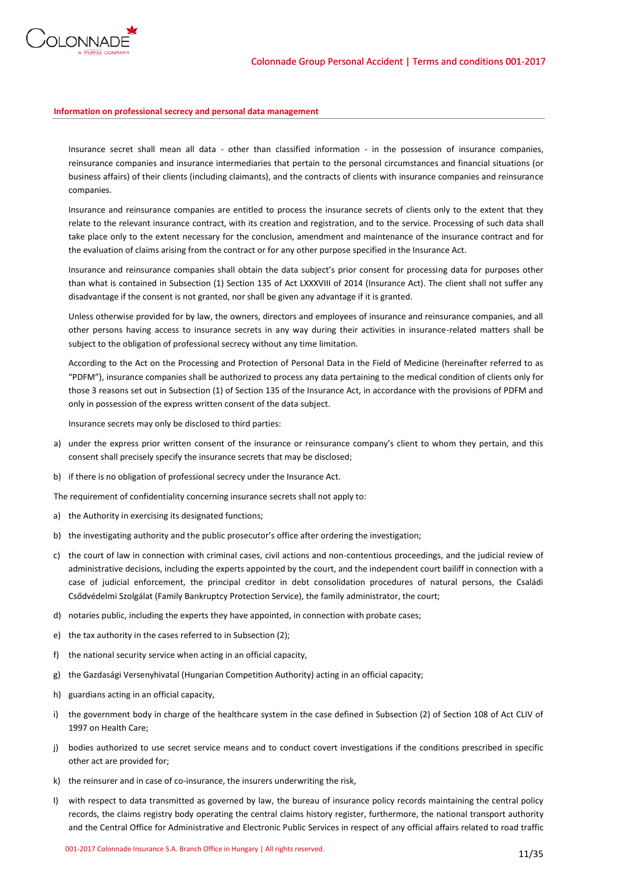

# **Information on professional secrecy and personal data management**

Insurance secret shall mean all data - other than classified information - in the possession of insurance companies, reinsurance companies and insurance intermediaries that pertain to the personal circumstances and financial situations (or business affairs) of their clients (including claimants), and the contracts of clients with insurance companies and reinsurance companies.

Insurance and reinsurance companies are entitled to process the insurance secrets of clients only to the extent that they relate to the relevant insurance contract, with its creation and registration, and to the service. Processing of such data shall take place only to the extent necessary for the conclusion, amendment and maintenance of the insurance contract and for the evaluation of claims arising from the contract or for any other purpose specified in the Insurance Act.

Insurance and reinsurance companies shall obtain the data subject's prior consent for processing data for purposes other than what is contained in Subsection (1) Section 135 of Act LXXXVIII of 2014 (Insurance Act). The client shall not suffer any disadvantage if the consent is not granted, nor shall be given any advantage if it is granted.

Unless otherwise provided for by law, the owners, directors and employees of insurance and reinsurance companies, and all other persons having access to insurance secrets in any way during their activities in insurance-related matters shall be subject to the obligation of professional secrecy without any time limitation.

According to the Act on the Processing and Protection of Personal Data in the Field of Medicine (hereinafter referred to as "PDFM"), insurance companies shall be authorized to process any data pertaining to the medical condition of clients only for those 3 reasons set out in Subsection (1) of Section 135 of the Insurance Act, in accordance with the provisions of PDFM and only in possession of the express written consent of the data subject.

Insurance secrets may only be disclosed to third parties:

- a) under the express prior written consent of the insurance or reinsurance company's client to whom they pertain, and this consent shall precisely specify the insurance secrets that may be disclosed;
- b) if there is no obligation of professional secrecy under the Insurance Act.

The requirement of confidentiality concerning insurance secrets shall not apply to:

- a) the Authority in exercising its designated functions;
- b) the investigating authority and the public prosecutor's office after ordering the investigation;
- c) the court of law in connection with criminal cases, civil actions and non-contentious proceedings, and the judicial review of administrative decisions, including the experts appointed by the court, and the independent court bailiff in connection with a case of judicial enforcement, the principal creditor in debt consolidation procedures of natural persons, the Családi Csődvédelmi Szolgálat (Family Bankruptcy Protection Service), the family administrator, the court;
- d) notaries public, including the experts they have appointed, in connection with probate cases;
- e) the tax authority in the cases referred to in Subsection (2);
- f) the national security service when acting in an official capacity,
- g) the Gazdasági Versenyhivatal (Hungarian Competition Authority) acting in an official capacity;
- h) guardians acting in an official capacity,
- i) the government body in charge of the healthcare system in the case defined in Subsection (2) of Section 108 of Act CLIV of 1997 on Health Care;
- j) bodies authorized to use secret service means and to conduct covert investigations if the conditions prescribed in specific other act are provided for;
- k) the reinsurer and in case of co-insurance, the insurers underwriting the risk,
- l) with respect to data transmitted as governed by law, the bureau of insurance policy records maintaining the central policy records, the claims registry body operating the central claims history register, furthermore, the national transport authority and the Central Office for Administrative and Electronic Public Services in respect of any official affairs related to road traffic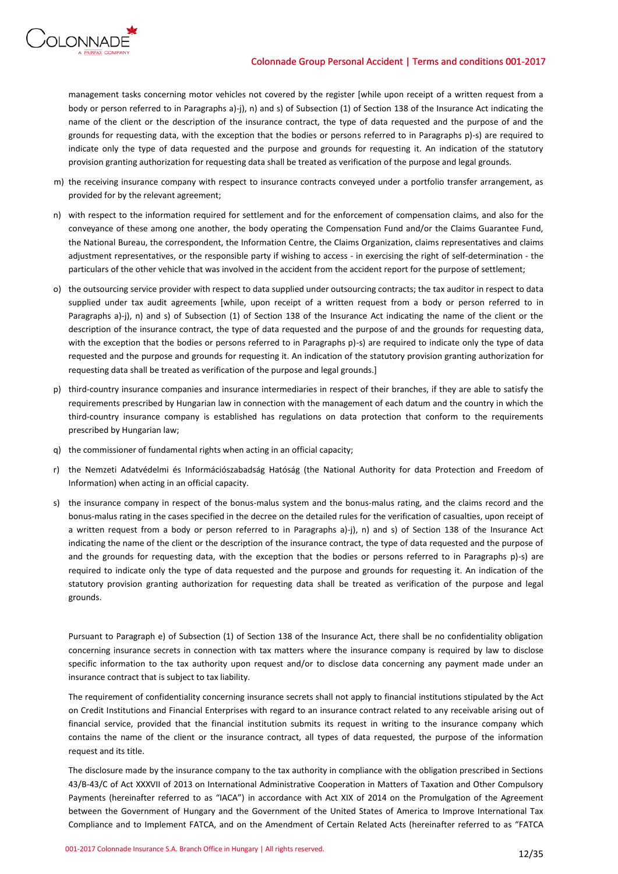

management tasks concerning motor vehicles not covered by the register [while upon receipt of a written request from a body or person referred to in Paragraphs a)-j), n) and s) of Subsection (1) of Section 138 of the Insurance Act indicating the name of the client or the description of the insurance contract, the type of data requested and the purpose of and the grounds for requesting data, with the exception that the bodies or persons referred to in Paragraphs p)-s) are required to indicate only the type of data requested and the purpose and grounds for requesting it. An indication of the statutory provision granting authorization for requesting data shall be treated as verification of the purpose and legal grounds.

- m) the receiving insurance company with respect to insurance contracts conveyed under a portfolio transfer arrangement, as provided for by the relevant agreement;
- n) with respect to the information required for settlement and for the enforcement of compensation claims, and also for the conveyance of these among one another, the body operating the Compensation Fund and/or the Claims Guarantee Fund, the National Bureau, the correspondent, the Information Centre, the Claims Organization, claims representatives and claims adjustment representatives, or the responsible party if wishing to access - in exercising the right of self-determination - the particulars of the other vehicle that was involved in the accident from the accident report for the purpose of settlement;
- o) the outsourcing service provider with respect to data supplied under outsourcing contracts; the tax auditor in respect to data supplied under tax audit agreements [while, upon receipt of a written request from a body or person referred to in Paragraphs a)-j), n) and s) of Subsection (1) of Section 138 of the Insurance Act indicating the name of the client or the description of the insurance contract, the type of data requested and the purpose of and the grounds for requesting data, with the exception that the bodies or persons referred to in Paragraphs p)-s) are required to indicate only the type of data requested and the purpose and grounds for requesting it. An indication of the statutory provision granting authorization for requesting data shall be treated as verification of the purpose and legal grounds.]
- p) third-country insurance companies and insurance intermediaries in respect of their branches, if they are able to satisfy the requirements prescribed by Hungarian law in connection with the management of each datum and the country in which the third-country insurance company is established has regulations on data protection that conform to the requirements prescribed by Hungarian law;
- q) the commissioner of fundamental rights when acting in an official capacity;
- r) the Nemzeti Adatvédelmi és Információszabadság Hatóság (the National Authority for data Protection and Freedom of Information) when acting in an official capacity.
- s) the insurance company in respect of the bonus-malus system and the bonus-malus rating, and the claims record and the bonus-malus rating in the cases specified in the decree on the detailed rules for the verification of casualties, upon receipt of a written request from a body or person referred to in Paragraphs a)-j), n) and s) of Section 138 of the Insurance Act indicating the name of the client or the description of the insurance contract, the type of data requested and the purpose of and the grounds for requesting data, with the exception that the bodies or persons referred to in Paragraphs p)-s) are required to indicate only the type of data requested and the purpose and grounds for requesting it. An indication of the statutory provision granting authorization for requesting data shall be treated as verification of the purpose and legal grounds.

Pursuant to Paragraph e) of Subsection (1) of Section 138 of the Insurance Act, there shall be no confidentiality obligation concerning insurance secrets in connection with tax matters where the insurance company is required by law to disclose specific information to the tax authority upon request and/or to disclose data concerning any payment made under an insurance contract that is subject to tax liability.

The requirement of confidentiality concerning insurance secrets shall not apply to financial institutions stipulated by the Act on Credit Institutions and Financial Enterprises with regard to an insurance contract related to any receivable arising out of financial service, provided that the financial institution submits its request in writing to the insurance company which contains the name of the client or the insurance contract, all types of data requested, the purpose of the information request and its title.

The disclosure made by the insurance company to the tax authority in compliance with the obligation prescribed in Sections 43/B-43/C of Act XXXVII of 2013 on International Administrative Cooperation in Matters of Taxation and Other Compulsory Payments (hereinafter referred to as "IACA") in accordance with Act XIX of 2014 on the Promulgation of the Agreement between the Government of Hungary and the Government of the United States of America to Improve International Tax Compliance and to Implement FATCA, and on the Amendment of Certain Related Acts (hereinafter referred to as "FATCA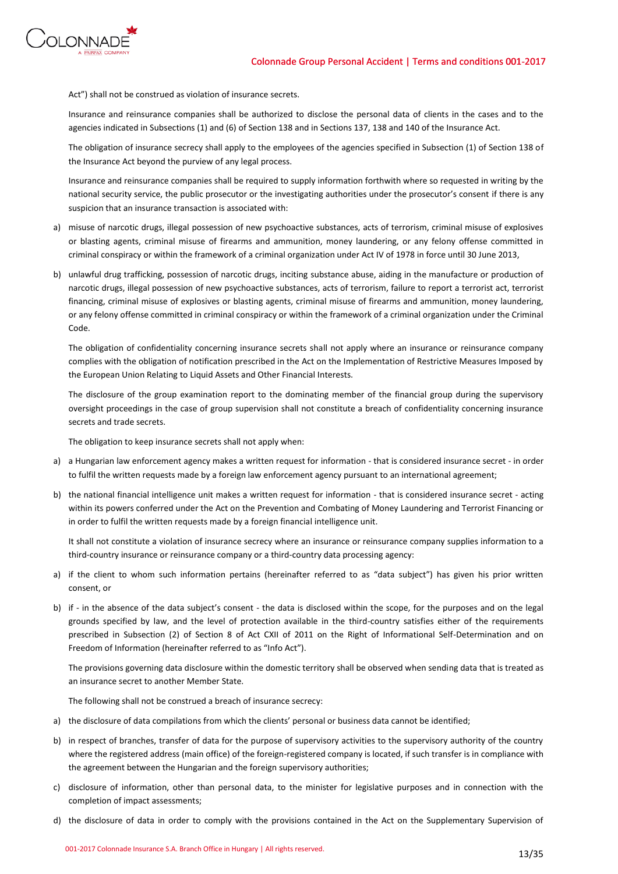

Act") shall not be construed as violation of insurance secrets.

Insurance and reinsurance companies shall be authorized to disclose the personal data of clients in the cases and to the agencies indicated in Subsections (1) and (6) of Section 138 and in Sections 137, 138 and 140 of the Insurance Act.

The obligation of insurance secrecy shall apply to the employees of the agencies specified in Subsection (1) of Section 138 of the Insurance Act beyond the purview of any legal process.

Insurance and reinsurance companies shall be required to supply information forthwith where so requested in writing by the national security service, the public prosecutor or the investigating authorities under the prosecutor's consent if there is any suspicion that an insurance transaction is associated with:

- a) misuse of narcotic drugs, illegal possession of new psychoactive substances, acts of terrorism, criminal misuse of explosives or blasting agents, criminal misuse of firearms and ammunition, money laundering, or any felony offense committed in criminal conspiracy or within the framework of a criminal organization under Act IV of 1978 in force until 30 June 2013,
- b) unlawful drug trafficking, possession of narcotic drugs, inciting substance abuse, aiding in the manufacture or production of narcotic drugs, illegal possession of new psychoactive substances, acts of terrorism, failure to report a terrorist act, terrorist financing, criminal misuse of explosives or blasting agents, criminal misuse of firearms and ammunition, money laundering, or any felony offense committed in criminal conspiracy or within the framework of a criminal organization under the Criminal Code.

The obligation of confidentiality concerning insurance secrets shall not apply where an insurance or reinsurance company complies with the obligation of notification prescribed in the Act on the Implementation of Restrictive Measures Imposed by the European Union Relating to Liquid Assets and Other Financial Interests.

The disclosure of the group examination report to the dominating member of the financial group during the supervisory oversight proceedings in the case of group supervision shall not constitute a breach of confidentiality concerning insurance secrets and trade secrets.

The obligation to keep insurance secrets shall not apply when:

- a) a Hungarian law enforcement agency makes a written request for information that is considered insurance secret in order to fulfil the written requests made by a foreign law enforcement agency pursuant to an international agreement;
- b) the national financial intelligence unit makes a written request for information that is considered insurance secret acting within its powers conferred under the Act on the Prevention and Combating of Money Laundering and Terrorist Financing or in order to fulfil the written requests made by a foreign financial intelligence unit.

It shall not constitute a violation of insurance secrecy where an insurance or reinsurance company supplies information to a third-country insurance or reinsurance company or a third-country data processing agency:

- a) if the client to whom such information pertains (hereinafter referred to as "data subject") has given his prior written consent, or
- b) if in the absence of the data subject's consent the data is disclosed within the scope, for the purposes and on the legal grounds specified by law, and the level of protection available in the third-country satisfies either of the requirements prescribed in Subsection (2) of Section 8 of Act CXII of 2011 on the Right of Informational Self-Determination and on Freedom of Information (hereinafter referred to as "Info Act").

The provisions governing data disclosure within the domestic territory shall be observed when sending data that is treated as an insurance secret to another Member State.

The following shall not be construed a breach of insurance secrecy:

- a) the disclosure of data compilations from which the clients' personal or business data cannot be identified;
- b) in respect of branches, transfer of data for the purpose of supervisory activities to the supervisory authority of the country where the registered address (main office) of the foreign-registered company is located, if such transfer is in compliance with the agreement between the Hungarian and the foreign supervisory authorities;
- c) disclosure of information, other than personal data, to the minister for legislative purposes and in connection with the completion of impact assessments;
- d) the disclosure of data in order to comply with the provisions contained in the Act on the Supplementary Supervision of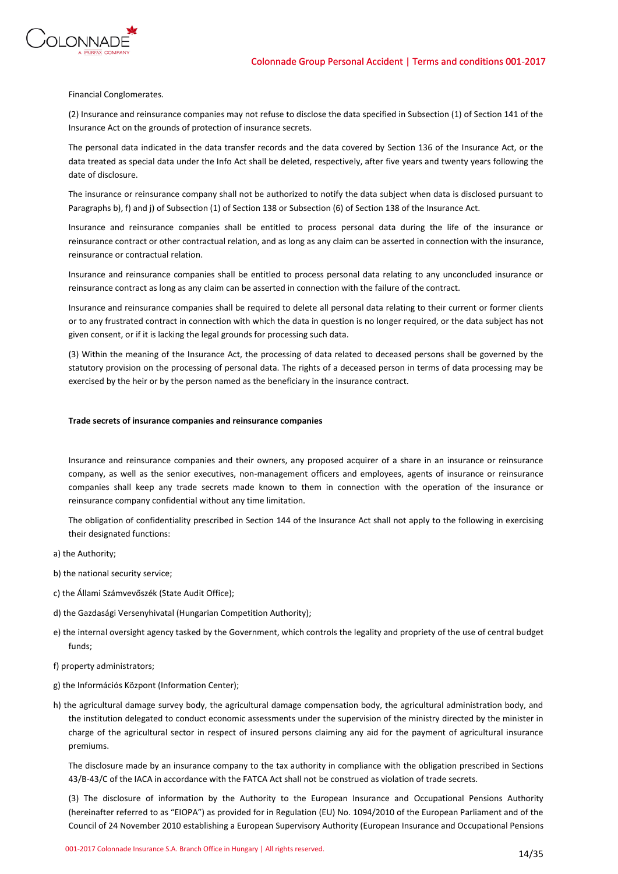



Financial Conglomerates.

(2) Insurance and reinsurance companies may not refuse to disclose the data specified in Subsection (1) of Section 141 of the Insurance Act on the grounds of protection of insurance secrets.

The personal data indicated in the data transfer records and the data covered by Section 136 of the Insurance Act, or the data treated as special data under the Info Act shall be deleted, respectively, after five years and twenty years following the date of disclosure.

The insurance or reinsurance company shall not be authorized to notify the data subject when data is disclosed pursuant to Paragraphs b), f) and j) of Subsection (1) of Section 138 or Subsection (6) of Section 138 of the Insurance Act.

Insurance and reinsurance companies shall be entitled to process personal data during the life of the insurance or reinsurance contract or other contractual relation, and as long as any claim can be asserted in connection with the insurance, reinsurance or contractual relation.

Insurance and reinsurance companies shall be entitled to process personal data relating to any unconcluded insurance or reinsurance contract as long as any claim can be asserted in connection with the failure of the contract.

Insurance and reinsurance companies shall be required to delete all personal data relating to their current or former clients or to any frustrated contract in connection with which the data in question is no longer required, or the data subject has not given consent, or if it is lacking the legal grounds for processing such data.

(3) Within the meaning of the Insurance Act, the processing of data related to deceased persons shall be governed by the statutory provision on the processing of personal data. The rights of a deceased person in terms of data processing may be exercised by the heir or by the person named as the beneficiary in the insurance contract.

# **Trade secrets of insurance companies and reinsurance companies**

Insurance and reinsurance companies and their owners, any proposed acquirer of a share in an insurance or reinsurance company, as well as the senior executives, non-management officers and employees, agents of insurance or reinsurance companies shall keep any trade secrets made known to them in connection with the operation of the insurance or reinsurance company confidential without any time limitation.

The obligation of confidentiality prescribed in Section 144 of the Insurance Act shall not apply to the following in exercising their designated functions:

- a) the Authority;
- b) the national security service;
- c) the Állami Számvevőszék (State Audit Office);
- d) the Gazdasági Versenyhivatal (Hungarian Competition Authority);
- e) the internal oversight agency tasked by the Government, which controls the legality and propriety of the use of central budget funds;
- f) property administrators;
- g) the Információs Központ (Information Center);
- h) the agricultural damage survey body, the agricultural damage compensation body, the agricultural administration body, and the institution delegated to conduct economic assessments under the supervision of the ministry directed by the minister in charge of the agricultural sector in respect of insured persons claiming any aid for the payment of agricultural insurance premiums.

The disclosure made by an insurance company to the tax authority in compliance with the obligation prescribed in Sections 43/B-43/C of the IACA in accordance with the FATCA Act shall not be construed as violation of trade secrets.

(3) The disclosure of information by the Authority to the European Insurance and Occupational Pensions Authority (hereinafter referred to as "EIOPA") as provided for in Regulation (EU) No. 1094/2010 of the European Parliament and of the Council of 24 November 2010 establishing a European Supervisory Authority (European Insurance and Occupational Pensions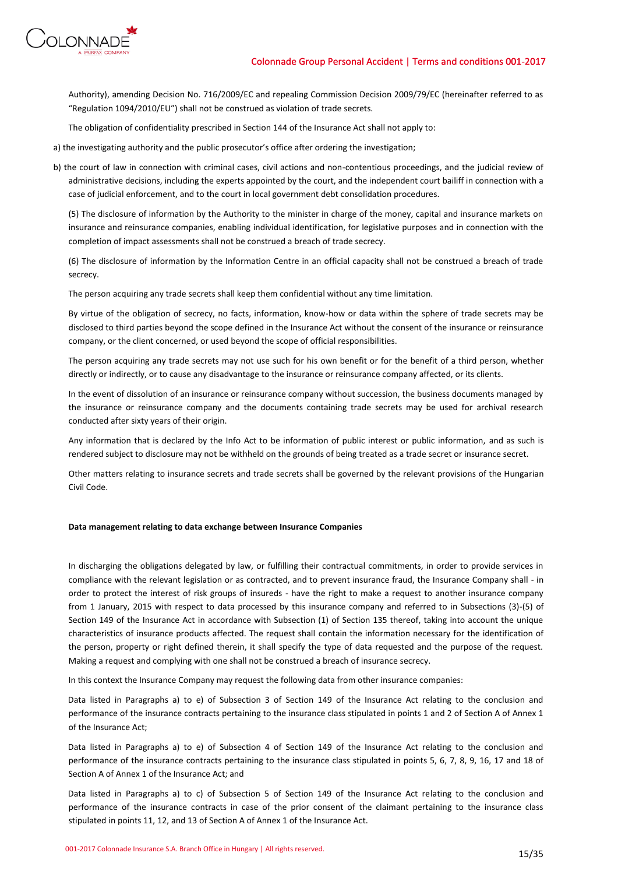

Authority), amending Decision No. 716/2009/EC and repealing Commission Decision 2009/79/EC (hereinafter referred to as "Regulation 1094/2010/EU") shall not be construed as violation of trade secrets.

The obligation of confidentiality prescribed in Section 144 of the Insurance Act shall not apply to:

- a) the investigating authority and the public prosecutor's office after ordering the investigation;
- b) the court of law in connection with criminal cases, civil actions and non-contentious proceedings, and the judicial review of administrative decisions, including the experts appointed by the court, and the independent court bailiff in connection with a case of judicial enforcement, and to the court in local government debt consolidation procedures.

(5) The disclosure of information by the Authority to the minister in charge of the money, capital and insurance markets on insurance and reinsurance companies, enabling individual identification, for legislative purposes and in connection with the completion of impact assessments shall not be construed a breach of trade secrecy.

(6) The disclosure of information by the Information Centre in an official capacity shall not be construed a breach of trade secrecy.

The person acquiring any trade secrets shall keep them confidential without any time limitation.

By virtue of the obligation of secrecy, no facts, information, know-how or data within the sphere of trade secrets may be disclosed to third parties beyond the scope defined in the Insurance Act without the consent of the insurance or reinsurance company, or the client concerned, or used beyond the scope of official responsibilities.

The person acquiring any trade secrets may not use such for his own benefit or for the benefit of a third person, whether directly or indirectly, or to cause any disadvantage to the insurance or reinsurance company affected, or its clients.

In the event of dissolution of an insurance or reinsurance company without succession, the business documents managed by the insurance or reinsurance company and the documents containing trade secrets may be used for archival research conducted after sixty years of their origin.

Any information that is declared by the Info Act to be information of public interest or public information, and as such is rendered subject to disclosure may not be withheld on the grounds of being treated as a trade secret or insurance secret.

Other matters relating to insurance secrets and trade secrets shall be governed by the relevant provisions of the Hungarian Civil Code.

# **Data management relating to data exchange between Insurance Companies**

In discharging the obligations delegated by law, or fulfilling their contractual commitments, in order to provide services in compliance with the relevant legislation or as contracted, and to prevent insurance fraud, the Insurance Company shall - in order to protect the interest of risk groups of insureds - have the right to make a request to another insurance company from 1 January, 2015 with respect to data processed by this insurance company and referred to in Subsections (3)-(5) of Section 149 of the Insurance Act in accordance with Subsection (1) of Section 135 thereof, taking into account the unique characteristics of insurance products affected. The request shall contain the information necessary for the identification of the person, property or right defined therein, it shall specify the type of data requested and the purpose of the request. Making a request and complying with one shall not be construed a breach of insurance secrecy.

In this context the Insurance Company may request the following data from other insurance companies:

Data listed in Paragraphs a) to e) of Subsection 3 of Section 149 of the Insurance Act relating to the conclusion and performance of the insurance contracts pertaining to the insurance class stipulated in points 1 and 2 of Section A of Annex 1 of the Insurance Act;

Data listed in Paragraphs a) to e) of Subsection 4 of Section 149 of the Insurance Act relating to the conclusion and performance of the insurance contracts pertaining to the insurance class stipulated in points 5, 6, 7, 8, 9, 16, 17 and 18 of Section A of Annex 1 of the Insurance Act; and

Data listed in Paragraphs a) to c) of Subsection 5 of Section 149 of the Insurance Act relating to the conclusion and performance of the insurance contracts in case of the prior consent of the claimant pertaining to the insurance class stipulated in points 11, 12, and 13 of Section A of Annex 1 of the Insurance Act.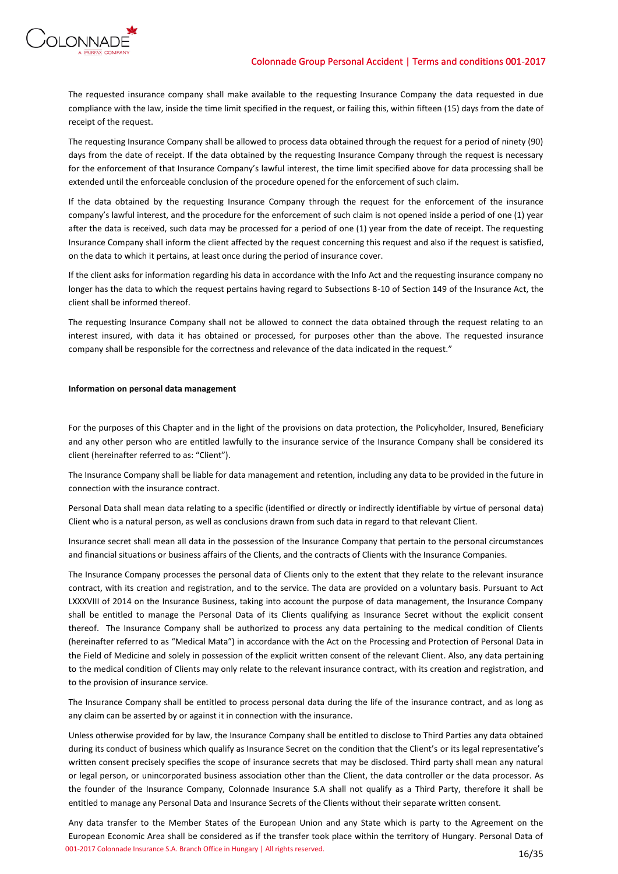

The requested insurance company shall make available to the requesting Insurance Company the data requested in due compliance with the law, inside the time limit specified in the request, or failing this, within fifteen (15) days from the date of receipt of the request.

The requesting Insurance Company shall be allowed to process data obtained through the request for a period of ninety (90) days from the date of receipt. If the data obtained by the requesting Insurance Company through the request is necessary for the enforcement of that Insurance Company's lawful interest, the time limit specified above for data processing shall be extended until the enforceable conclusion of the procedure opened for the enforcement of such claim.

If the data obtained by the requesting Insurance Company through the request for the enforcement of the insurance company's lawful interest, and the procedure for the enforcement of such claim is not opened inside a period of one (1) year after the data is received, such data may be processed for a period of one (1) year from the date of receipt. The requesting Insurance Company shall inform the client affected by the request concerning this request and also if the request is satisfied, on the data to which it pertains, at least once during the period of insurance cover.

If the client asks for information regarding his data in accordance with the Info Act and the requesting insurance company no longer has the data to which the request pertains having regard to Subsections 8-10 of Section 149 of the Insurance Act, the client shall be informed thereof.

The requesting Insurance Company shall not be allowed to connect the data obtained through the request relating to an interest insured, with data it has obtained or processed, for purposes other than the above. The requested insurance company shall be responsible for the correctness and relevance of the data indicated in the request."

# **Information on personal data management**

For the purposes of this Chapter and in the light of the provisions on data protection, the Policyholder, Insured, Beneficiary and any other person who are entitled lawfully to the insurance service of the Insurance Company shall be considered its client (hereinafter referred to as: "Client").

The Insurance Company shall be liable for data management and retention, including any data to be provided in the future in connection with the insurance contract.

Personal Data shall mean data relating to a specific (identified or directly or indirectly identifiable by virtue of personal data) Client who is a natural person, as well as conclusions drawn from such data in regard to that relevant Client.

Insurance secret shall mean all data in the possession of the Insurance Company that pertain to the personal circumstances and financial situations or business affairs of the Clients, and the contracts of Clients with the Insurance Companies.

The Insurance Company processes the personal data of Clients only to the extent that they relate to the relevant insurance contract, with its creation and registration, and to the service. The data are provided on a voluntary basis. Pursuant to Act LXXXVIII of 2014 on the Insurance Business, taking into account the purpose of data management, the Insurance Company shall be entitled to manage the Personal Data of its Clients qualifying as Insurance Secret without the explicit consent thereof. The Insurance Company shall be authorized to process any data pertaining to the medical condition of Clients (hereinafter referred to as "Medical Mata") in accordance with the Act on the Processing and Protection of Personal Data in the Field of Medicine and solely in possession of the explicit written consent of the relevant Client. Also, any data pertaining to the medical condition of Clients may only relate to the relevant insurance contract, with its creation and registration, and to the provision of insurance service.

The Insurance Company shall be entitled to process personal data during the life of the insurance contract, and as long as any claim can be asserted by or against it in connection with the insurance.

Unless otherwise provided for by law, the Insurance Company shall be entitled to disclose to Third Parties any data obtained during its conduct of business which qualify as Insurance Secret on the condition that the Client's or its legal representative's written consent precisely specifies the scope of insurance secrets that may be disclosed. Third party shall mean any natural or legal person, or unincorporated business association other than the Client, the data controller or the data processor. As the founder of the Insurance Company, Colonnade Insurance S.A shall not qualify as a Third Party, therefore it shall be entitled to manage any Personal Data and Insurance Secrets of the Clients without their separate written consent.

001-2017 Colonnade Insurance S.A. Branch Office in Hungary | All rights reserved. 16/35 Any data transfer to the Member States of the European Union and any State which is party to the Agreement on the European Economic Area shall be considered as if the transfer took place within the territory of Hungary. Personal Data of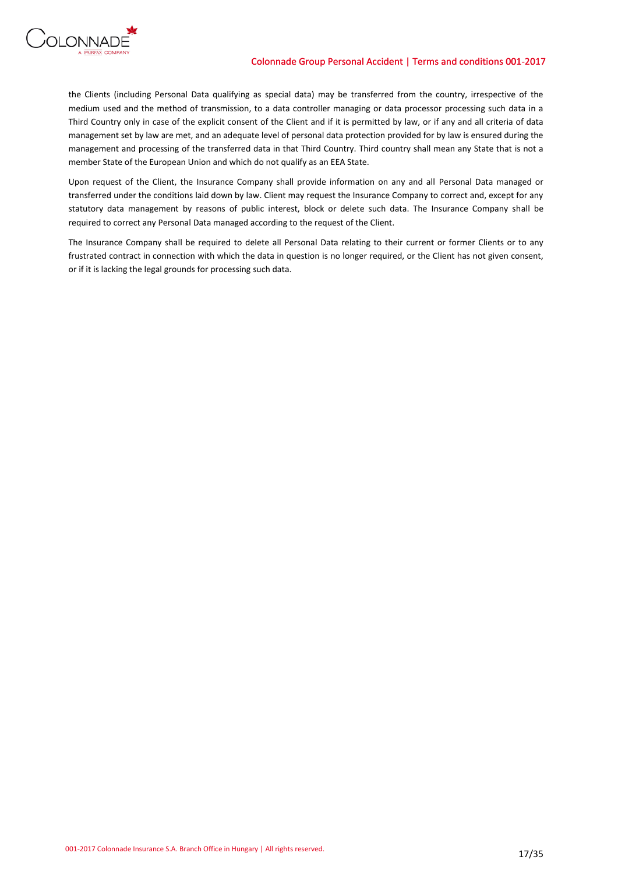

the Clients (including Personal Data qualifying as special data) may be transferred from the country, irrespective of the medium used and the method of transmission, to a data controller managing or data processor processing such data in a Third Country only in case of the explicit consent of the Client and if it is permitted by law, or if any and all criteria of data management set by law are met, and an adequate level of personal data protection provided for by law is ensured during the management and processing of the transferred data in that Third Country. Third country shall mean any State that is not a member State of the European Union and which do not qualify as an EEA State.

Upon request of the Client, the Insurance Company shall provide information on any and all Personal Data managed or transferred under the conditions laid down by law. Client may request the Insurance Company to correct and, except for any statutory data management by reasons of public interest, block or delete such data. The Insurance Company shall be required to correct any Personal Data managed according to the request of the Client.

The Insurance Company shall be required to delete all Personal Data relating to their current or former Clients or to any frustrated contract in connection with which the data in question is no longer required, or the Client has not given consent, or if it is lacking the legal grounds for processing such data.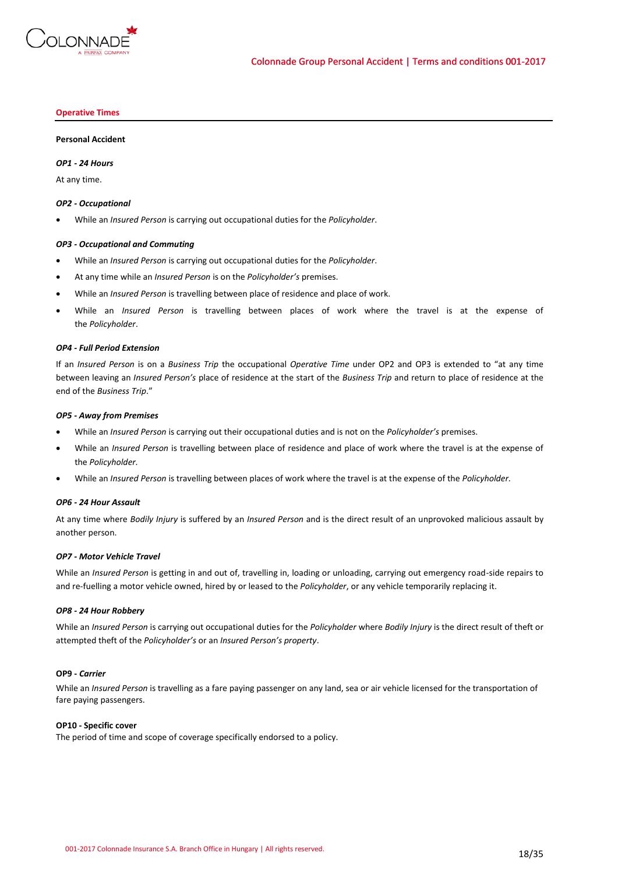

### **Operative Times**

### **Personal Accident**

### *OP1 - 24 Hours*

At any time.

### *OP2 - Occupational*

While an *Insured Person* is carrying out occupational duties for the *Policyholder*.

### *OP3 - Occupational and Commuting*

- While an *Insured Person* is carrying out occupational duties for the *Policyholder*.
- At any time while an *Insured Person* is on the *Policyholder's* premises.
- While an *Insured Person* is travelling between place of residence and place of work.
- While an *Insured Person* is travelling between places of work where the travel is at the expense of the *Policyholder*.

### *OP4 - Full Period Extension*

If an *Insured Person* is on a *Business Trip* the occupational *Operative Time* under OP2 and OP3 is extended to "at any time between leaving an *Insured Person's* place of residence at the start of the *Business Trip* and return to place of residence at the end of the *Business Trip*."

### *OP5 - Away from Premises*

- While an *Insured Person* is carrying out their occupational duties and is not on the *Policyholder's* premises.
- While an *Insured Person* is travelling between place of residence and place of work where the travel is at the expense of the *Policyholder.*
- While an *Insured Person* is travelling between places of work where the travel is at the expense of the *Policyholder.*

### *OP6 - 24 Hour Assault*

At any time where *Bodily Injury* is suffered by an *Insured Person* and is the direct result of an unprovoked malicious assault by another person.

### *OP7 - Motor Vehicle Travel*

While an *Insured Person* is getting in and out of, travelling in, loading or unloading, carrying out emergency road-side repairs to and re-fuelling a motor vehicle owned, hired by or leased to the *Policyholder*, or any vehicle temporarily replacing it.

### *OP8 - 24 Hour Robbery*

While an *Insured Person* is carrying out occupational duties for the *Policyholder* where *Bodily Injury* is the direct result of theft or attempted theft of the *Policyholder's* or an *Insured Person's property*.

# **OP9 -** *Carrier*

While an *Insured Person* is travelling as a fare paying passenger on any land, sea or air vehicle licensed for the transportation of fare paying passengers.

### **OP10 - Specific cover**

The period of time and scope of coverage specifically endorsed to a policy.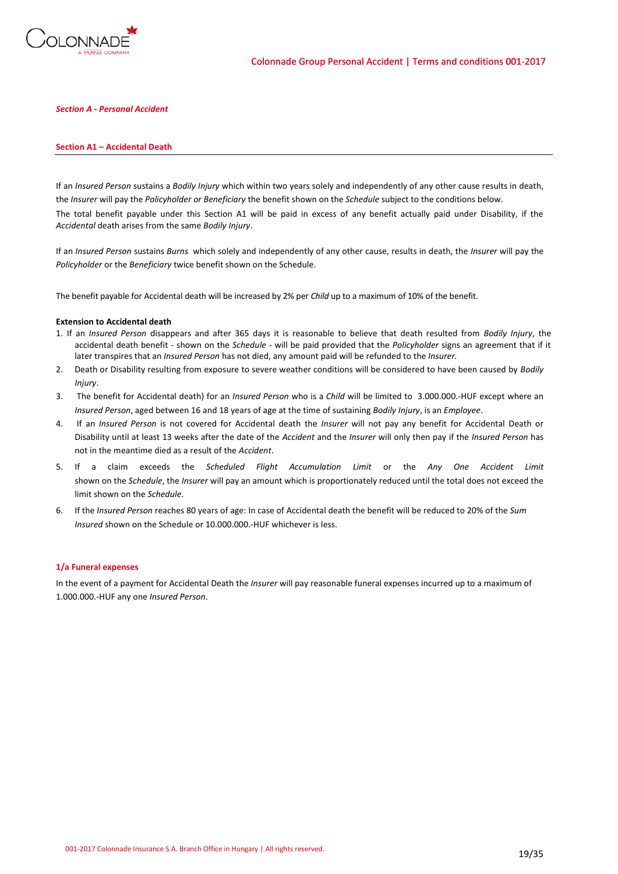

# *Section A - Personal Accident*

### **Section A1 – Accidental Death**

If an *Insured Person* sustains a *Bodily Injury* which within two years solely and independently of any other cause results in death, the *Insurer* will pay the *Policyholder or Beneficiary* the benefit shown on the *Schedule* subject to the conditions below. The total benefit payable under this Section A1 will be paid in excess of any benefit actually paid under Disability, if the *Accidental* death arises from the same *Bodily Injury*.

If an *Insured Person* sustains *Burns* which solely and independently of any other cause, results in death, the *Insurer* will pay the *Policyholder* or the *Beneficiary* twice benefit shown on the Schedule.

The benefit payable for Accidental death will be increased by 2% per *Child* up to a maximum of 10% of the benefit.

### **Extension to Accidental death**

- 1. If an *Insured Person* disappears and after 365 days it is reasonable to believe that death resulted from *Bodily Injury*, the accidental death benefit - shown on the *Schedule* - will be paid provided that the *Policyholder* signs an agreement that if it later transpires that an *Insured Person* has not died, any amount paid will be refunded to the *Insurer.*
- 2. Death or Disability resulting from exposure to severe weather conditions will be considered to have been caused by *Bodily Injury*.
- 3. The benefit for Accidental death) for an *Insured Person* who is a *Child* will be limited to 3.000.000.-HUF except where an *Insured Person*, aged between 16 and 18 years of age at the time of sustaining *Bodily Injury*, is an *Employee*.
- 4. If an *Insured Person* is not covered for Accidental death the *Insurer* will not pay any benefit for Accidental Death or Disability until at least 13 weeks after the date of the *Accident* and the *Insurer* will only then pay if the *Insured Person* has not in the meantime died as a result of the *Accident*.
- 5. If a claim exceeds the *Scheduled Flight Accumulation Limit* or the *Any One Accident Limit* shown on the *Schedule*, the *Insurer* will pay an amount which is proportionately reduced until the total does not exceed the limit shown on the *Schedule*.
- 6. If the *Insured Person* reaches 80 years of age: In case of Accidental death the benefit will be reduced to 20% of the *Sum Insured* shown on the Schedule or 10.000.000.-HUF whichever is less.

### **1/a Funeral expenses**

In the event of a payment for Accidental Death the *Insurer* will pay reasonable funeral expenses incurred up to a maximum of 1.000.000.-HUF any one *Insured Person*.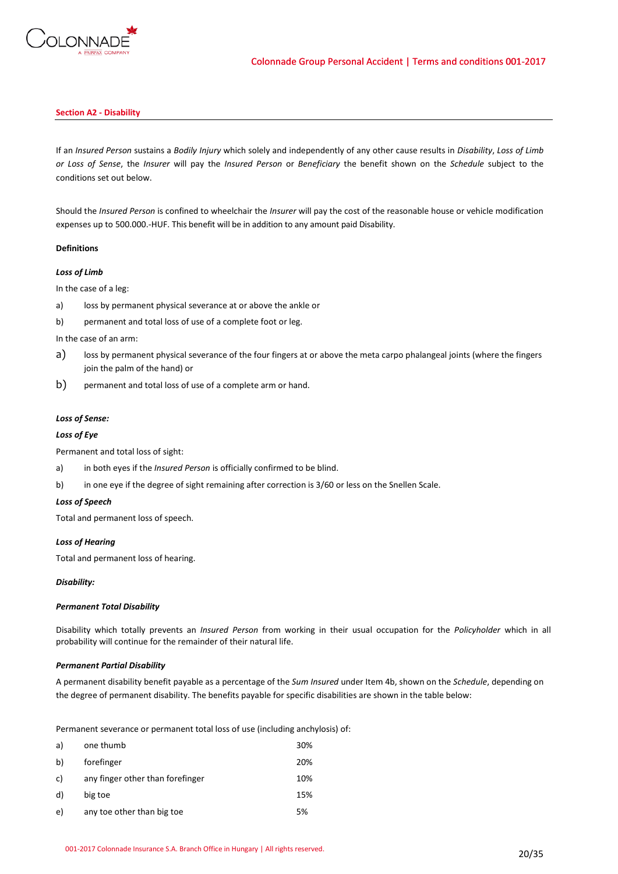

# **Section A2 - Disability**

If an *Insured Person* sustains a *Bodily Injury* which solely and independently of any other cause results in *Disability*, *Loss of Limb or Loss of Sense*, the *Insurer* will pay the *Insured Person* or *Beneficiary* the benefit shown on the *Schedule* subject to the conditions set out below.

Should the *Insured Person* is confined to wheelchair the *Insurer* will pay the cost of the reasonable house or vehicle modification expenses up to 500.000.-HUF. This benefit will be in addition to any amount paid Disability.

# **Definitions**

# *Loss of Limb*

In the case of a leg:

- a) loss by permanent physical severance at or above the ankle or
- b) permanent and total loss of use of a complete foot or leg.

In the case of an arm:

- a) loss by permanent physical severance of the four fingers at or above the meta carpo phalangeal joints (where the fingers join the palm of the hand) or
- b) permanent and total loss of use of a complete arm or hand.

# *Loss of Sense:*

# *Loss of Eye*

Permanent and total loss of sight:

- a) in both eyes if the *Insured Person* is officially confirmed to be blind.
- b) in one eye if the degree of sight remaining after correction is 3/60 or less on the Snellen Scale.

### *Loss of Speech*

Total and permanent loss of speech.

# *Loss of Hearing*

Total and permanent loss of hearing.

### *Disability:*

### *Permanent Total Disability*

Disability which totally prevents an *Insured Person* from working in their usual occupation for the *Policyholder* which in all probability will continue for the remainder of their natural life.

# *Permanent Partial Disability*

A permanent disability benefit payable as a percentage of the *Sum Insured* under Item 4b, shown on the *Schedule*, depending on the degree of permanent disability. The benefits payable for specific disabilities are shown in the table below:

Permanent severance or permanent total loss of use (including anchylosis) of:

| a) | one thumb                        | 30% |
|----|----------------------------------|-----|
| b) | forefinger                       | 20% |
| c) | any finger other than forefinger | 10% |
| d) | big toe                          | 15% |
| e) | any toe other than big toe       | 5%  |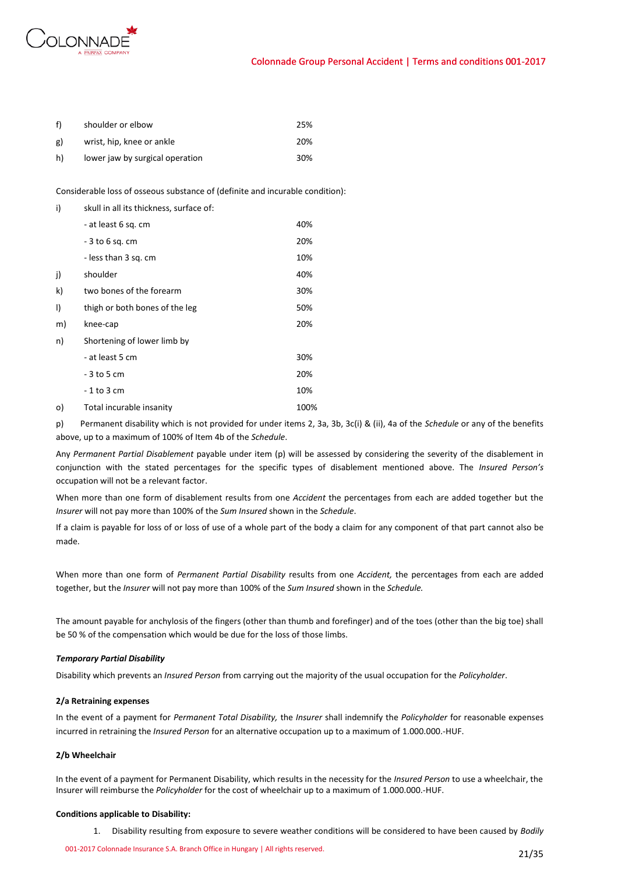

| f)        | shoulder or elbow               | 25% |
|-----------|---------------------------------|-----|
| <b>g)</b> | wrist, hip, knee or ankle       | 20% |
| h)        | lower jaw by surgical operation | 30% |

Considerable loss of osseous substance of (definite and incurable condition):

| i) | skull in all its thickness, surface of: |      |
|----|-----------------------------------------|------|
|    | - at least 6 sq. cm                     | 40%  |
|    | $-3$ to 6 sq. cm                        | 20%  |
|    | - less than 3 sq. cm                    | 10%  |
| j) | shoulder                                | 40%  |
| k) | two bones of the forearm                | 30%  |
| I) | thigh or both bones of the leg          | 50%  |
| m) | knee-cap                                | 20%  |
| n) | Shortening of lower limb by             |      |
|    | - at least 5 cm                         | 30%  |
|    | - 3 to 5 cm                             | 20%  |
|    | $-1$ to 3 cm                            | 10%  |
| o) | Total incurable insanity                | 100% |

p) Permanent disability which is not provided for under items 2, 3a, 3b, 3c(i) & (ii), 4a of the *Schedule* or any of the benefits above, up to a maximum of 100% of Item 4b of the *Schedule*.

Any *Permanent Partial Disablement* payable under item (p) will be assessed by considering the severity of the disablement in conjunction with the stated percentages for the specific types of disablement mentioned above. The *Insured Person's* occupation will not be a relevant factor.

When more than one form of disablement results from one *Accident* the percentages from each are added together but the *Insurer* will not pay more than 100% of the *Sum Insured* shown in the *Schedule*.

If a claim is payable for loss of or loss of use of a whole part of the body a claim for any component of that part cannot also be made.

When more than one form of *Permanent Partial Disability* results from one *Accident,* the percentages from each are added together, but the *Insurer* will not pay more than 100% of the *Sum Insured* shown in the *Schedule.*

The amount payable for anchylosis of the fingers (other than thumb and forefinger) and of the toes (other than the big toe) shall be 50 % of the compensation which would be due for the loss of those limbs.

# *Temporary Partial Disability*

Disability which prevents an *Insured Person* from carrying out the majority of the usual occupation for the *Policyholder*.

### **2/a Retraining expenses**

In the event of a payment for *Permanent Total Disability,* the *Insurer* shall indemnify the *Policyholder* for reasonable expenses incurred in retraining the *Insured Person* for an alternative occupation up to a maximum of 1.000.000.-HUF.

# **2/b Wheelchair**

In the event of a payment for Permanent Disability, which results in the necessity for the *Insured Person* to use a wheelchair, the Insurer will reimburse the *Policyholder* for the cost of wheelchair up to a maximum of 1.000.000.-HUF.

### **Conditions applicable to Disability:**

1. Disability resulting from exposure to severe weather conditions will be considered to have been caused by *Bodily*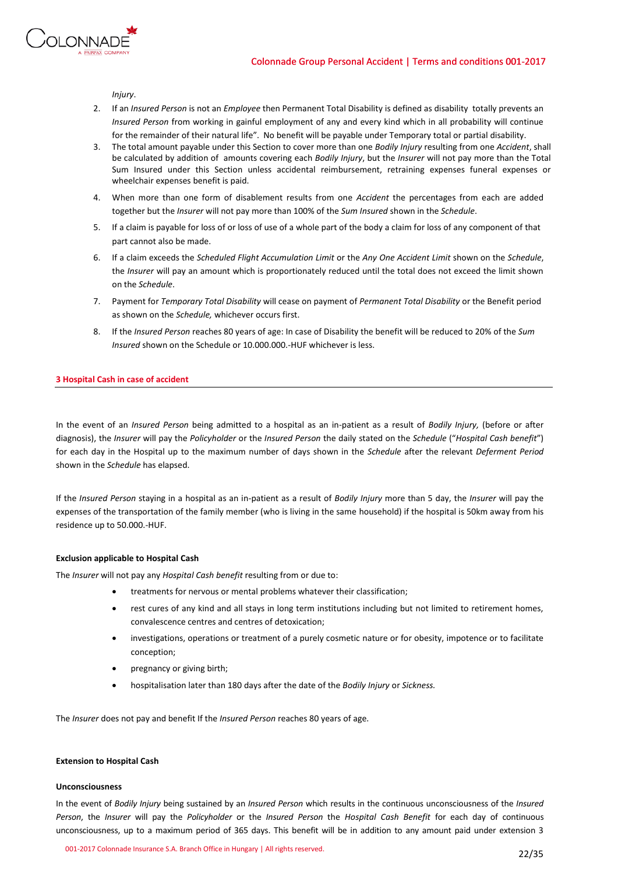



*Injury*.

- 2. If an *Insured Person* is not an *Employee* then Permanent Total Disability is defined as disability totally prevents an *Insured Person* from working in gainful employment of any and every kind which in all probability will continue for the remainder of their natural life". No benefit will be payable under Temporary total or partial disability.
- 3. The total amount payable under this Section to cover more than one *Bodily Injury* resulting from one *Accident*, shall be calculated by addition of amounts covering each *Bodily Injury*, but the *Insurer* will not pay more than the Total Sum Insured under this Section unless accidental reimbursement, retraining expenses funeral expenses or wheelchair expenses benefit is paid.
- 4. When more than one form of disablement results from one *Accident* the percentages from each are added together but the *Insurer* will not pay more than 100% of the *Sum Insured* shown in the *Schedule*.
- 5. If a claim is payable for loss of or loss of use of a whole part of the body a claim for loss of any component of that part cannot also be made.
- 6. If a claim exceeds the *Scheduled Flight Accumulation Limit* or the *Any One Accident Limit* shown on the *Schedule*, the *Insurer* will pay an amount which is proportionately reduced until the total does not exceed the limit shown on the *Schedule*.
- 7. Payment for *Temporary Total Disability* will cease on payment of *Permanent Total Disability* or the Benefit period as shown on the *Schedule,* whichever occurs first.
- 8. If the *Insured Person* reaches 80 years of age: In case of Disability the benefit will be reduced to 20% of the *Sum Insured* shown on the Schedule or 10.000.000.-HUF whichever is less.

# **3 Hospital Cash in case of accident**

In the event of an *Insured Person* being admitted to a hospital as an in-patient as a result of *Bodily Injury,* (before or after diagnosis), the *Insurer* will pay the *Policyholder* or the *Insured Person* the daily stated on the *Schedule* ("*Hospital Cash benefit*") for each day in the Hospital up to the maximum number of days shown in the *Schedule* after the relevant *Deferment Period* shown in the *Schedule* has elapsed.

If the *Insured Person* staying in a hospital as an in-patient as a result of *Bodily Injury* more than 5 day, the *Insurer* will pay the expenses of the transportation of the family member (who is living in the same household) if the hospital is 50km away from his residence up to 50.000.-HUF.

# **Exclusion applicable to Hospital Cash**

The *Insurer* will not pay any *Hospital Cash benefit* resulting from or due to:

- treatments for nervous or mental problems whatever their classification;
- rest cures of any kind and all stays in long term institutions including but not limited to retirement homes, convalescence centres and centres of detoxication;
- investigations, operations or treatment of a purely cosmetic nature or for obesity, impotence or to facilitate conception;
- pregnancy or giving birth;
- hospitalisation later than 180 days after the date of the *Bodily Injury* or *Sickness.*

The *Insurer* does not pay and benefit If the *Insured Person* reaches 80 years of age.

## **Extension to Hospital Cash**

### **Unconsciousness**

In the event of *Bodily Injury* being sustained by an *Insured Person* which results in the continuous unconsciousness of the *Insured Person*, the *Insurer* will pay the *Policyholder* or the *Insured Person* the *Hospital Cash Benefit* for each day of continuous unconsciousness, up to a maximum period of 365 days. This benefit will be in addition to any amount paid under extension 3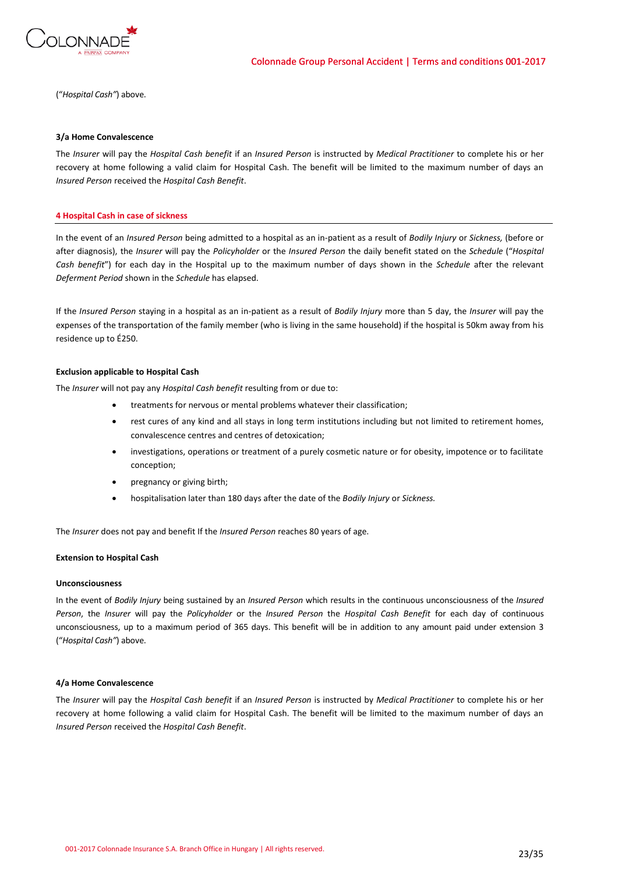

("*Hospital Cash"*) above.

### **3/a Home Convalescence**

The *Insurer* will pay the *Hospital Cash benefit* if an *Insured Person* is instructed by *Medical Practitioner* to complete his or her recovery at home following a valid claim for Hospital Cash. The benefit will be limited to the maximum number of days an *Insured Person* received the *Hospital Cash Benefit*.

### **4 Hospital Cash in case of sickness**

In the event of an *Insured Person* being admitted to a hospital as an in-patient as a result of *Bodily Injury* or *Sickness,* (before or after diagnosis), the *Insurer* will pay the *Policyholder* or the *Insured Person* the daily benefit stated on the *Schedule* ("*Hospital Cash benefit*") for each day in the Hospital up to the maximum number of days shown in the *Schedule* after the relevant *Deferment Period* shown in the *Schedule* has elapsed.

If the *Insured Person* staying in a hospital as an in-patient as a result of *Bodily Injury* more than 5 day, the *Insurer* will pay the expenses of the transportation of the family member (who is living in the same household) if the hospital is 50km away from his residence up to É250.

### **Exclusion applicable to Hospital Cash**

The *Insurer* will not pay any *Hospital Cash benefit* resulting from or due to:

- treatments for nervous or mental problems whatever their classification;
- rest cures of any kind and all stays in long term institutions including but not limited to retirement homes, convalescence centres and centres of detoxication;
- investigations, operations or treatment of a purely cosmetic nature or for obesity, impotence or to facilitate conception;
- pregnancy or giving birth;
- hospitalisation later than 180 days after the date of the *Bodily Injury* or *Sickness.*

The *Insurer* does not pay and benefit If the *Insured Person* reaches 80 years of age.

### **Extension to Hospital Cash**

# **Unconsciousness**

In the event of *Bodily Injury* being sustained by an *Insured Person* which results in the continuous unconsciousness of the *Insured Person*, the *Insurer* will pay the *Policyholder* or the *Insured Person* the *Hospital Cash Benefit* for each day of continuous unconsciousness, up to a maximum period of 365 days. This benefit will be in addition to any amount paid under extension 3 ("*Hospital Cash"*) above.

### **4/a Home Convalescence**

The *Insurer* will pay the *Hospital Cash benefit* if an *Insured Person* is instructed by *Medical Practitioner* to complete his or her recovery at home following a valid claim for Hospital Cash. The benefit will be limited to the maximum number of days an *Insured Person* received the *Hospital Cash Benefit*.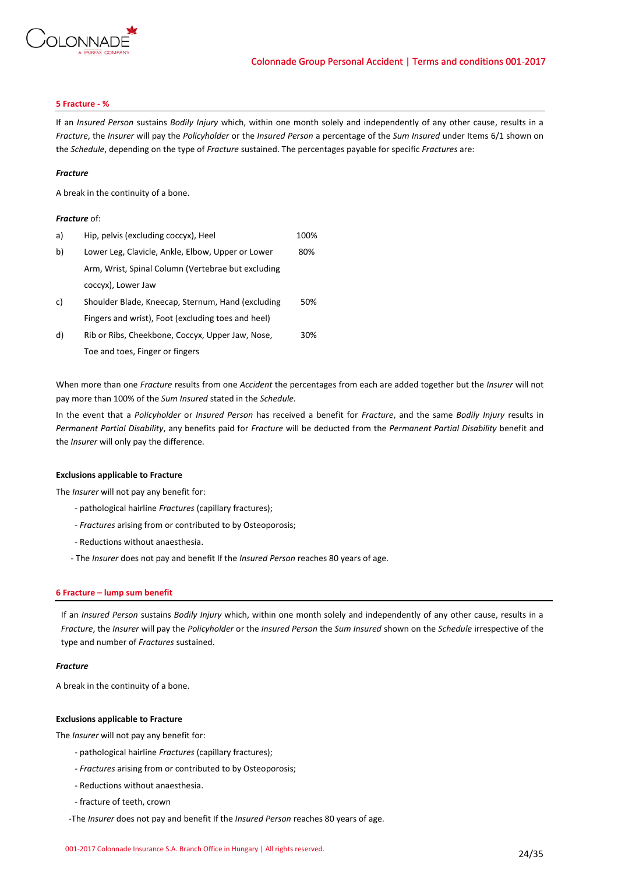

# **5 Fracture - %**

If an *Insured Person* sustains *Bodily Injury* which, within one month solely and independently of any other cause, results in a *Fracture*, the *Insurer* will pay the *Policyholder* or the *Insured Person* a percentage of the *Sum Insured* under Items 6/1 shown on the *Schedule*, depending on the type of *Fracture* sustained. The percentages payable for specific *Fractures* are:

### *Fracture*

A break in the continuity of a bone.

# *Fracture* of:

| a) | Hip, pelvis (excluding coccyx), Heel               | 100% |
|----|----------------------------------------------------|------|
| b) | Lower Leg, Clavicle, Ankle, Elbow, Upper or Lower  | 80%  |
|    | Arm, Wrist, Spinal Column (Vertebrae but excluding |      |
|    | coccyx), Lower Jaw                                 |      |
| c) | Shoulder Blade, Kneecap, Sternum, Hand (excluding  | 50%  |
|    | Fingers and wrist), Foot (excluding toes and heel) |      |
| d) | Rib or Ribs, Cheekbone, Coccyx, Upper Jaw, Nose,   | 30%  |
|    | Toe and toes, Finger or fingers                    |      |

When more than one *Fracture* results from one *Accident* the percentages from each are added together but the *Insurer* will not pay more than 100% of the *Sum Insured* stated in the *Schedule.*

In the event that a *Policyholder* or *Insured Person* has received a benefit for *Fracture*, and the same *Bodily Injury* results in *Permanent Partial Disability*, any benefits paid for *Fracture* will be deducted from the *Permanent Partial Disability* benefit and the *Insurer* will only pay the difference.

# **Exclusions applicable to Fracture**

The *Insurer* will not pay any benefit for:

- pathological hairline *Fractures* (capillary fractures);
- *- Fractures* arising from or contributed to by Osteoporosis;
- Reductions without anaesthesia.
- The *Insurer* does not pay and benefit If the *Insured Person* reaches 80 years of age.

### **6 Fracture – lump sum benefit**

If an *Insured Person* sustains *Bodily Injury* which, within one month solely and independently of any other cause, results in a *Fracture*, the *Insurer* will pay the *Policyholder* or the *Insured Person* the *Sum Insured* shown on the *Schedule* irrespective of the type and number of *Fractures* sustained.

### *Fracture*

A break in the continuity of a bone.

# **Exclusions applicable to Fracture**

The *Insurer* will not pay any benefit for:

- pathological hairline *Fractures* (capillary fractures);
- *- Fractures* arising from or contributed to by Osteoporosis;
- Reductions without anaesthesia.
- fracture of teeth, crown
- -The *Insurer* does not pay and benefit If the *Insured Person* reaches 80 years of age.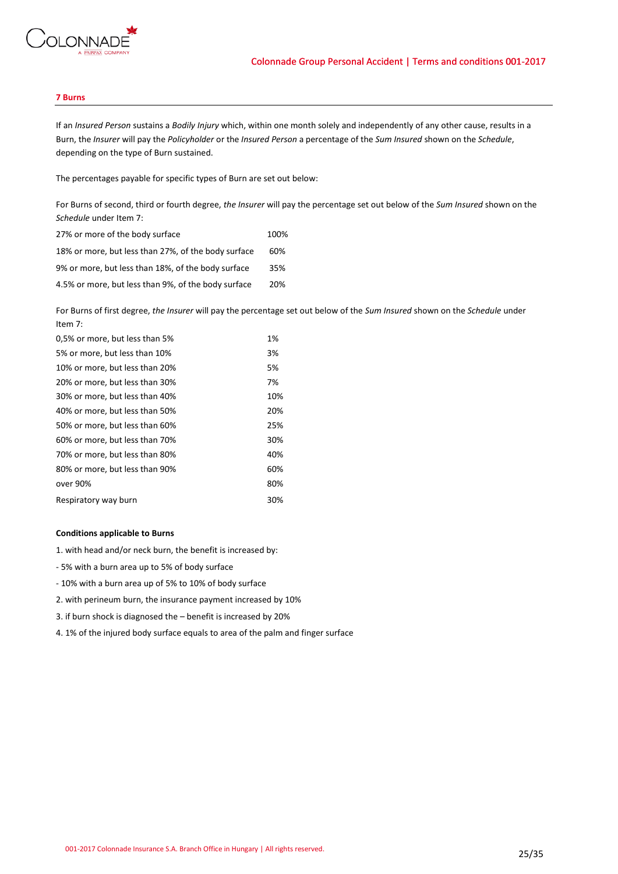

# **7 Burns**

If an *Insured Person* sustains a *Bodily Injury* which, within one month solely and independently of any other cause, results in a Burn, the *Insurer* will pay the *Policyholder* or the *Insured Person* a percentage of the *Sum Insured* shown on the *Schedule*, depending on the type of Burn sustained.

The percentages payable for specific types of Burn are set out below:

For Burns of second, third or fourth degree, *the Insurer* will pay the percentage set out below of the *Sum Insured* shown on the *Schedule* under Item 7:

| 27% or more of the body surface                     | 100% |
|-----------------------------------------------------|------|
| 18% or more, but less than 27%, of the body surface | 60%  |
| 9% or more, but less than 18%, of the body surface  | 35%  |
| 4.5% or more, but less than 9%, of the body surface | 20%  |

For Burns of first degree, *the Insurer* will pay the percentage set out below of the *Sum Insured* shown on the *Schedule* under Item 7:

| 0,5% or more, but less than 5% | 1%  |
|--------------------------------|-----|
| 5% or more, but less than 10%  | 3%  |
| 10% or more, but less than 20% | 5%  |
| 20% or more, but less than 30% | 7%  |
| 30% or more, but less than 40% | 10% |
| 40% or more, but less than 50% | 20% |
| 50% or more, but less than 60% | 25% |
| 60% or more, but less than 70% | 30% |
| 70% or more, but less than 80% | 40% |
| 80% or more, but less than 90% | 60% |
| over 90%                       | 80% |
| Respiratory way burn           | 30% |
|                                |     |

### **Conditions applicable to Burns**

1. with head and/or neck burn, the benefit is increased by:

- 5% with a burn area up to 5% of body surface
- 10% with a burn area up of 5% to 10% of body surface
- 2. with perineum burn, the insurance payment increased by 10%
- 3. if burn shock is diagnosed the benefit is increased by 20%
- 4. 1% of the injured body surface equals to area of the palm and finger surface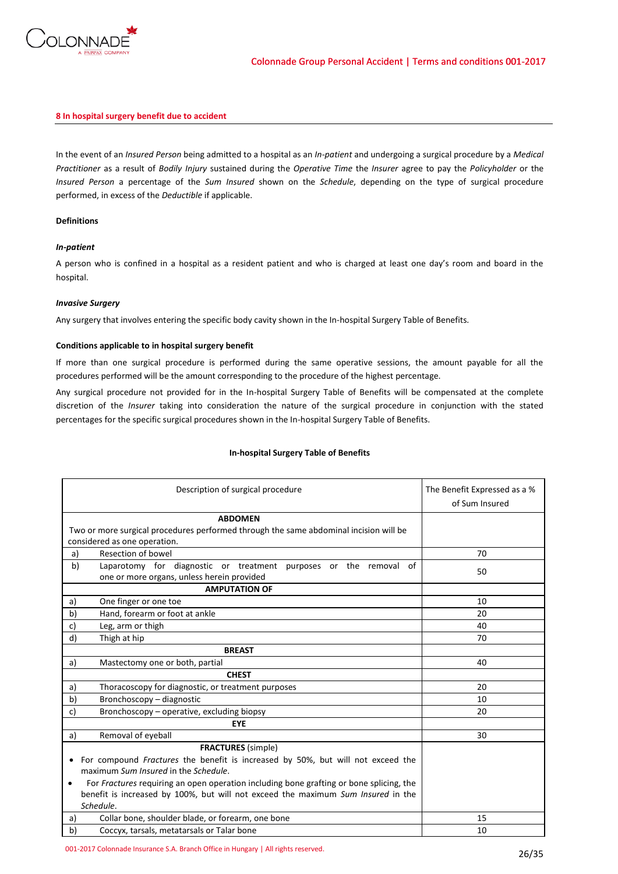

# **8 In hospital surgery benefit due to accident**

In the event of an *Insured Person* being admitted to a hospital as an *In-patient* and undergoing a surgical procedure by a *Medical Practitioner* as a result of *Bodily Injury* sustained during the *Operative Time* the *Insurer* agree to pay the *Policyholder* or the *Insured Person* a percentage of the *Sum Insured* shown on the *Schedule*, depending on the type of surgical procedure performed, in excess of the *Deductible* if applicable.

# **Definitions**

# *In-patient*

A person who is confined in a hospital as a resident patient and who is charged at least one day's room and board in the hospital.

# *Invasive Surgery*

Any surgery that involves entering the specific body cavity shown in the In-hospital Surgery Table of Benefits.

# **Conditions applicable to in hospital surgery benefit**

If more than one surgical procedure is performed during the same operative sessions, the amount payable for all the procedures performed will be the amount corresponding to the procedure of the highest percentage.

Any surgical procedure not provided for in the In-hospital Surgery Table of Benefits will be compensated at the complete discretion of the *Insurer* taking into consideration the nature of the surgical procedure in conjunction with the stated percentages for the specific surgical procedures shown in the In-hospital Surgery Table of Benefits.

| Description of surgical procedure                                                                    | The Benefit Expressed as a %<br>of Sum Insured |
|------------------------------------------------------------------------------------------------------|------------------------------------------------|
| <b>ABDOMEN</b>                                                                                       |                                                |
| Two or more surgical procedures performed through the same abdominal incision will be                |                                                |
| considered as one operation.                                                                         |                                                |
| Resection of bowel<br>a)                                                                             | 70                                             |
| Laparotomy for diagnostic or treatment purposes or the removal of<br>b)                              | 50                                             |
| one or more organs, unless herein provided                                                           |                                                |
| <b>AMPUTATION OF</b>                                                                                 |                                                |
| One finger or one toe<br>a)                                                                          | 10                                             |
| b)<br>Hand, forearm or foot at ankle                                                                 | 20                                             |
| Leg, arm or thigh<br>c)                                                                              | 40                                             |
| d)<br>Thigh at hip                                                                                   | 70                                             |
| <b>BREAST</b>                                                                                        |                                                |
| a)<br>Mastectomy one or both, partial                                                                | 40                                             |
| <b>CHEST</b>                                                                                         |                                                |
| Thoracoscopy for diagnostic, or treatment purposes<br>a)                                             | 20                                             |
| Bronchoscopy - diagnostic<br>b)                                                                      | 10                                             |
| c)<br>Bronchoscopy – operative, excluding biopsy                                                     | 20                                             |
| <b>EYE</b>                                                                                           |                                                |
| Removal of eyeball<br>a)                                                                             | 30                                             |
| <b>FRACTURES</b> (simple)                                                                            |                                                |
| For compound <i>Fractures</i> the benefit is increased by 50%, but will not exceed the               |                                                |
| maximum Sum Insured in the Schedule.                                                                 |                                                |
| For Fractures requiring an open operation including bone grafting or bone splicing, the<br>$\bullet$ |                                                |
| benefit is increased by 100%, but will not exceed the maximum Sum Insured in the                     |                                                |
| Schedule.                                                                                            |                                                |
| Collar bone, shoulder blade, or forearm, one bone<br>a)                                              | 15                                             |
| Coccyx, tarsals, metatarsals or Talar bone<br>b)                                                     | 10                                             |

# **In-hospital Surgery Table of Benefits**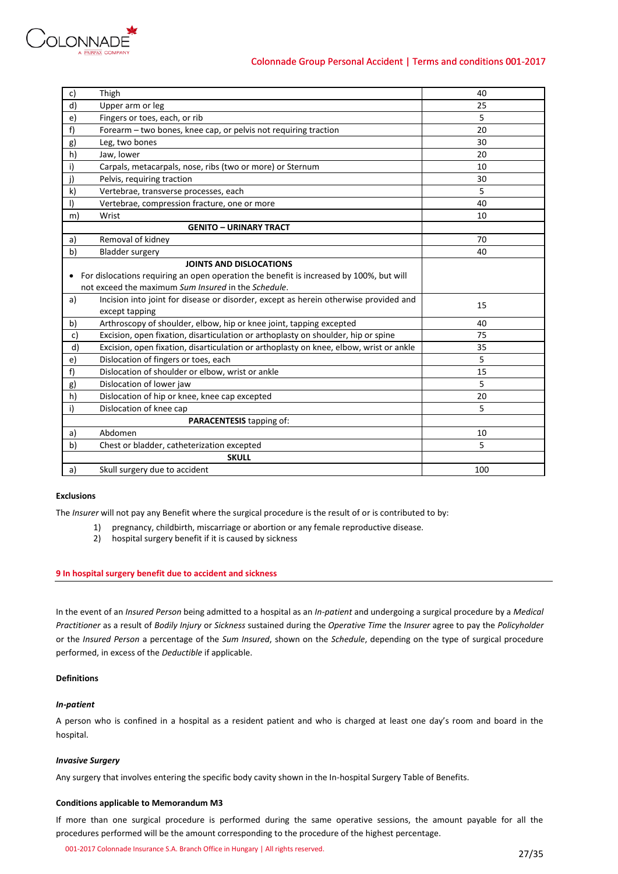

| c)           | Thigh                                                                                   | 40  |
|--------------|-----------------------------------------------------------------------------------------|-----|
| d)           | Upper arm or leg                                                                        | 25  |
| e)           | Fingers or toes, each, or rib                                                           | 5   |
| f)           | Forearm - two bones, knee cap, or pelvis not requiring traction                         | 20  |
| g)           | Leg, two bones                                                                          | 30  |
| h)           | Jaw, lower                                                                              | 20  |
| i)           | Carpals, metacarpals, nose, ribs (two or more) or Sternum                               | 10  |
| j)           | Pelvis, requiring traction                                                              | 30  |
| $\mathsf{k}$ | Vertebrae, transverse processes, each                                                   | 5   |
| $\vert$      | Vertebrae, compression fracture, one or more                                            | 40  |
| m)           | Wrist                                                                                   | 10  |
|              | <b>GENITO - URINARY TRACT</b>                                                           |     |
| a)           | Removal of kidney                                                                       | 70  |
| b)           | <b>Bladder surgery</b>                                                                  | 40  |
|              | <b>JOINTS AND DISLOCATIONS</b>                                                          |     |
| $\bullet$    | For dislocations requiring an open operation the benefit is increased by 100%, but will |     |
|              | not exceed the maximum Sum Insured in the Schedule.                                     |     |
| a)           | Incision into joint for disease or disorder, except as herein otherwise provided and    | 15  |
|              | except tapping                                                                          |     |
| b)           | Arthroscopy of shoulder, elbow, hip or knee joint, tapping excepted                     | 40  |
| c)           | Excision, open fixation, disarticulation or arthoplasty on shoulder, hip or spine       | 75  |
| d)           | Excision, open fixation, disarticulation or arthoplasty on knee, elbow, wrist or ankle  | 35  |
| e)           | Dislocation of fingers or toes, each                                                    | 5   |
| f)           | Dislocation of shoulder or elbow, wrist or ankle                                        | 15  |
| g)           | Dislocation of lower jaw                                                                | 5   |
| h)           | Dislocation of hip or knee, knee cap excepted                                           | 20  |
| i)           | Dislocation of knee cap                                                                 | 5   |
|              | PARACENTESIS tapping of:                                                                |     |
| a)           | Abdomen                                                                                 | 10  |
| b)           | Chest or bladder, catheterization excepted                                              | 5   |
|              | <b>SKULL</b>                                                                            |     |
| a)           | Skull surgery due to accident                                                           | 100 |

# **Exclusions**

The *Insurer* will not pay any Benefit where the surgical procedure is the result of or is contributed to by:

- 1) pregnancy, childbirth, miscarriage or abortion or any female reproductive disease.
	- 2) hospital surgery benefit if it is caused by sickness

# **9 In hospital surgery benefit due to accident and sickness**

In the event of an *Insured Person* being admitted to a hospital as an *In-patient* and undergoing a surgical procedure by a *Medical Practitioner* as a result of *Bodily Injury* or *Sickness* sustained during the *Operative Time* the *Insurer* agree to pay the *Policyholder* or the *Insured Person* a percentage of the *Sum Insured*, shown on the *Schedule*, depending on the type of surgical procedure performed, in excess of the *Deductible* if applicable.

# **Definitions**

### *In-patient*

A person who is confined in a hospital as a resident patient and who is charged at least one day's room and board in the hospital.

### *Invasive Surgery*

Any surgery that involves entering the specific body cavity shown in the In-hospital Surgery Table of Benefits.

### **Conditions applicable to Memorandum M3**

If more than one surgical procedure is performed during the same operative sessions, the amount payable for all the procedures performed will be the amount corresponding to the procedure of the highest percentage.

001-2017 Colonnade Insurance S.A. Branch Office in Hungary | All rights reserved. 27/35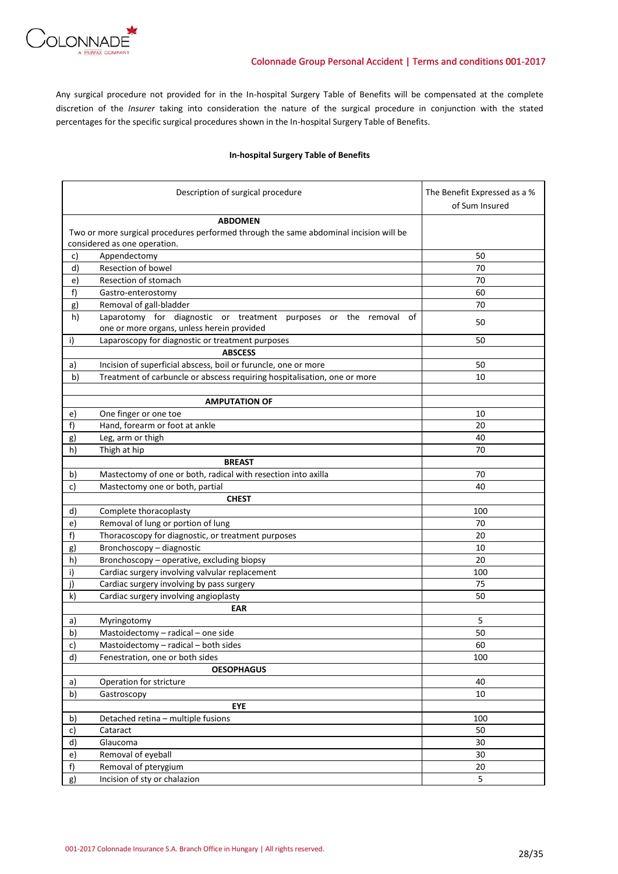

Any surgical procedure not provided for in the In-hospital Surgery Table of Benefits will be compensated at the complete discretion of the *Insurer* taking into consideration the nature of the surgical procedure in conjunction with the stated percentages for the specific surgical procedures shown in the In-hospital Surgery Table of Benefits.

# **In-hospital Surgery Table of Benefits**

|          | Description of surgical procedure                                                     | The Benefit Expressed as a %<br>of Sum Insured |
|----------|---------------------------------------------------------------------------------------|------------------------------------------------|
|          | <b>ABDOMEN</b>                                                                        |                                                |
|          | Two or more surgical procedures performed through the same abdominal incision will be |                                                |
|          | considered as one operation.                                                          |                                                |
| c)       | Appendectomy                                                                          | 50                                             |
| d)       | Resection of bowel                                                                    | 70                                             |
| e)       | Resection of stomach                                                                  | 70                                             |
| f)       | Gastro-enterostomy                                                                    | 60                                             |
| g)       | Removal of gall-bladder                                                               | 70                                             |
| h)       | Laparotomy for diagnostic or treatment purposes or the removal<br>οf                  |                                                |
|          | one or more organs, unless herein provided                                            | 50                                             |
| i)       | Laparoscopy for diagnostic or treatment purposes                                      | 50                                             |
|          | <b>ABSCESS</b>                                                                        |                                                |
| a)       | Incision of superficial abscess, boil or furuncle, one or more                        | 50                                             |
| b)       | Treatment of carbuncle or abscess requiring hospitalisation, one or more              | 10                                             |
|          |                                                                                       |                                                |
|          | <b>AMPUTATION OF</b>                                                                  |                                                |
| e)       | One finger or one toe                                                                 | 10                                             |
| f)       | Hand, forearm or foot at ankle                                                        | 20                                             |
| g)       | Leg, arm or thigh                                                                     | 40                                             |
| h)       | Thigh at hip                                                                          | 70                                             |
|          | <b>BREAST</b>                                                                         |                                                |
| b)       | Mastectomy of one or both, radical with resection into axilla                         | 70                                             |
| c)       | Mastectomy one or both, partial                                                       | 40                                             |
|          | <b>CHEST</b>                                                                          |                                                |
| d)       | Complete thoracoplasty                                                                | 100                                            |
| e)       | Removal of lung or portion of lung                                                    | 70                                             |
| f)       | Thoracoscopy for diagnostic, or treatment purposes                                    | 20                                             |
| g)       | Bronchoscopy - diagnostic                                                             | 10                                             |
| h)       | Bronchoscopy - operative, excluding biopsy                                            | 20                                             |
| i)       | Cardiac surgery involving valvular replacement                                        | 100                                            |
| j)       | Cardiac surgery involving by pass surgery                                             | 75                                             |
| k)       | Cardiac surgery involving angioplasty                                                 | 50                                             |
|          | <b>EAR</b>                                                                            |                                                |
| a)       | Myringotomy                                                                           | 5                                              |
| b)       | Mastoidectomy - radical - one side                                                    | 50                                             |
|          |                                                                                       | 60                                             |
| c)<br>d) | Mastoidectomy - radical - both sides<br>Fenestration, one or both sides               | 100                                            |
|          | <b>OESOPHAGUS</b>                                                                     |                                                |
|          |                                                                                       |                                                |
| a)       | Operation for stricture                                                               | 40                                             |
| b)       | Gastroscopy<br><b>EYE</b>                                                             | 10                                             |
|          |                                                                                       |                                                |
| b)       | Detached retina - multiple fusions                                                    | 100                                            |
| c)       | Cataract<br>Glaucoma                                                                  | 50                                             |
| d)       |                                                                                       | 30                                             |
| e)       | Removal of eyeball                                                                    | 30                                             |
| f)       | Removal of pterygium                                                                  | 20                                             |
| g)       | Incision of sty or chalazion                                                          | 5                                              |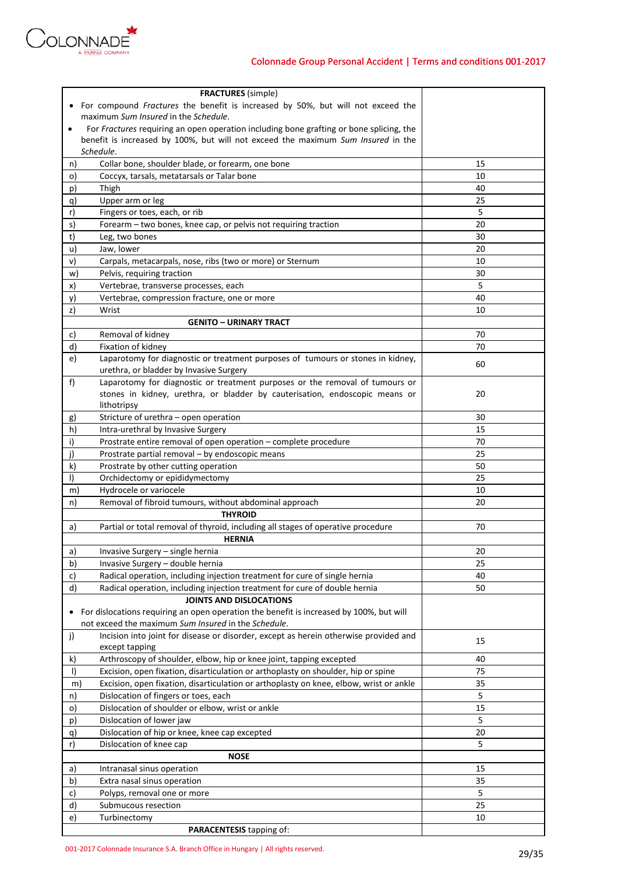

| <b>FRACTURES</b> (simple)                                                                            |    |
|------------------------------------------------------------------------------------------------------|----|
| For compound Fractures the benefit is increased by 50%, but will not exceed the                      |    |
| maximum Sum Insured in the Schedule.                                                                 |    |
| For Fractures requiring an open operation including bone grafting or bone splicing, the<br>$\bullet$ |    |
| benefit is increased by 100%, but will not exceed the maximum Sum Insured in the                     |    |
| Schedule.                                                                                            |    |
| Collar bone, shoulder blade, or forearm, one bone<br>n)                                              | 15 |
| $\circ)$<br>Coccyx, tarsals, metatarsals or Talar bone                                               | 10 |
| Thigh<br>p)                                                                                          | 40 |
| q)<br>Upper arm or leg                                                                               | 25 |
| Fingers or toes, each, or rib<br>r)                                                                  | 5  |
| Forearm - two bones, knee cap, or pelvis not requiring traction<br>s)                                | 20 |
| t)<br>Leg, two bones                                                                                 | 30 |
| u)<br>Jaw, lower                                                                                     | 20 |
| v)<br>Carpals, metacarpals, nose, ribs (two or more) or Sternum                                      | 10 |
| w)<br>Pelvis, requiring traction                                                                     | 30 |
| x)<br>Vertebrae, transverse processes, each                                                          | 5  |
| Vertebrae, compression fracture, one or more<br>y)                                                   | 40 |
| z)<br>Wrist                                                                                          | 10 |
| <b>GENITO - URINARY TRACT</b>                                                                        |    |
| Removal of kidney<br>c)                                                                              | 70 |
| d)<br>Fixation of kidney                                                                             | 70 |
| Laparotomy for diagnostic or treatment purposes of tumours or stones in kidney,<br>e)                | 60 |
| urethra, or bladder by Invasive Surgery                                                              |    |
| Laparotomy for diagnostic or treatment purposes or the removal of tumours or<br>f)                   |    |
| stones in kidney, urethra, or bladder by cauterisation, endoscopic means or                          | 20 |
| lithotripsy                                                                                          |    |
| Stricture of urethra - open operation<br>g)                                                          | 30 |
| h)<br>Intra-urethral by Invasive Surgery                                                             | 15 |
| i)<br>Prostrate entire removal of open operation - complete procedure                                | 70 |
| j)<br>Prostrate partial removal - by endoscopic means                                                | 25 |
| k)<br>Prostrate by other cutting operation                                                           | 50 |
| Orchidectomy or epididymectomy<br>$\vert$                                                            | 25 |
| Hydrocele or variocele<br>m)                                                                         | 10 |
| Removal of fibroid tumours, without abdominal approach<br>n)                                         | 20 |
| <b>THYROID</b>                                                                                       |    |
| Partial or total removal of thyroid, including all stages of operative procedure<br>a)               | 70 |
| <b>HERNIA</b>                                                                                        |    |
| Invasive Surgery - single hernia<br>a)                                                               | 20 |
| b)<br>Invasive Surgery - double hernia                                                               | 25 |
| Radical operation, including injection treatment for cure of single hernia<br>c)                     | 40 |
| d)<br>Radical operation, including injection treatment for cure of double hernia                     | 50 |
| <b>JOINTS AND DISLOCATIONS</b>                                                                       |    |
| For dislocations requiring an open operation the benefit is increased by 100%, but will              |    |
| not exceed the maximum Sum Insured in the Schedule.                                                  |    |
| Incision into joint for disease or disorder, except as herein otherwise provided and<br>j)           | 15 |
| except tapping                                                                                       |    |
| k)<br>Arthroscopy of shoulder, elbow, hip or knee joint, tapping excepted                            | 40 |
| $\vert$<br>Excision, open fixation, disarticulation or arthoplasty on shoulder, hip or spine         | 75 |
| Excision, open fixation, disarticulation or arthoplasty on knee, elbow, wrist or ankle<br>m)         | 35 |
| Dislocation of fingers or toes, each<br>n)                                                           | 5  |
| Dislocation of shoulder or elbow, wrist or ankle<br>$\circ)$                                         | 15 |
| Dislocation of lower jaw<br>p)                                                                       | 5  |
| Dislocation of hip or knee, knee cap excepted<br>q)                                                  | 20 |
| Dislocation of knee cap<br>r)                                                                        | 5  |
| <b>NOSE</b>                                                                                          |    |
| Intranasal sinus operation<br>a)                                                                     | 15 |
| b)<br>Extra nasal sinus operation                                                                    | 35 |
| Polyps, removal one or more<br>c)                                                                    | 5  |
| d)<br>Submucous resection                                                                            | 25 |
| Turbinectomy<br>e)                                                                                   | 10 |
| PARACENTESIS tapping of:                                                                             |    |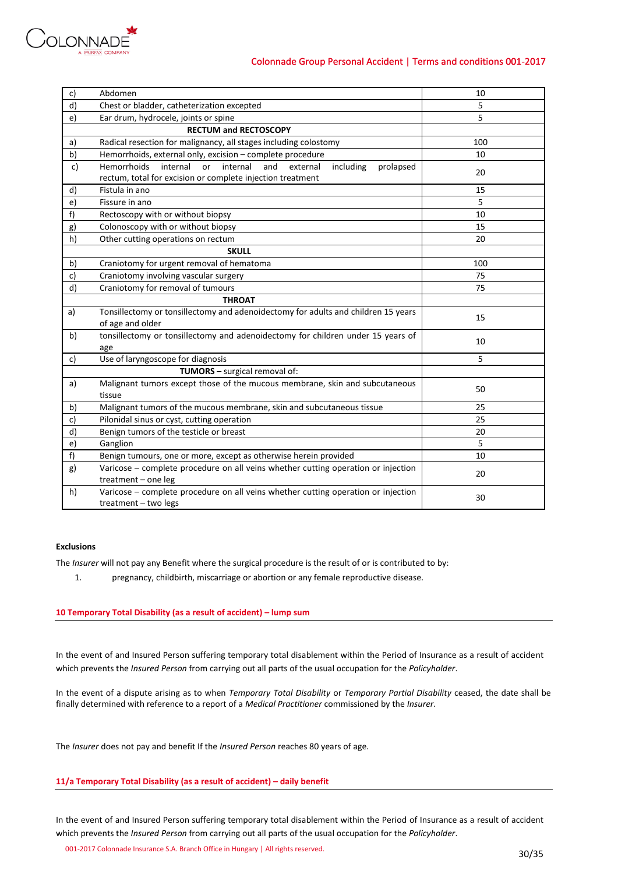

| c) | Abdomen                                                                                                                                                     | 10  |
|----|-------------------------------------------------------------------------------------------------------------------------------------------------------------|-----|
| d) | Chest or bladder, catheterization excepted                                                                                                                  | 5   |
| e) | Ear drum, hydrocele, joints or spine                                                                                                                        | 5   |
|    | <b>RECTUM and RECTOSCOPY</b>                                                                                                                                |     |
| a) | Radical resection for malignancy, all stages including colostomy                                                                                            | 100 |
| b) | Hemorrhoids, external only, excision - complete procedure                                                                                                   | 10  |
| c) | <b>Hemorrhoids</b><br>internal<br>internal<br>and<br>or<br>external<br>including<br>prolapsed<br>rectum, total for excision or complete injection treatment | 20  |
| d) | Fistula in ano                                                                                                                                              | 15  |
| e) | Fissure in ano                                                                                                                                              | 5   |
| f) | Rectoscopy with or without biopsy                                                                                                                           | 10  |
| g) | Colonoscopy with or without biopsy                                                                                                                          | 15  |
| h) | Other cutting operations on rectum                                                                                                                          | 20  |
|    | <b>SKULL</b>                                                                                                                                                |     |
| b) | Craniotomy for urgent removal of hematoma                                                                                                                   | 100 |
| c) | Craniotomy involving vascular surgery                                                                                                                       | 75  |
| d) | Craniotomy for removal of tumours                                                                                                                           | 75  |
|    | <b>THROAT</b>                                                                                                                                               |     |
| a) | Tonsillectomy or tonsillectomy and adenoidectomy for adults and children 15 years<br>of age and older                                                       | 15  |
| b) | tonsillectomy or tonsillectomy and adenoidectomy for children under 15 years of<br>age                                                                      | 10  |
| c) | Use of laryngoscope for diagnosis                                                                                                                           | 5   |
|    | TUMORS - surgical removal of:                                                                                                                               |     |
| a) | Malignant tumors except those of the mucous membrane, skin and subcutaneous<br>tissue                                                                       | 50  |
| b) | Malignant tumors of the mucous membrane, skin and subcutaneous tissue                                                                                       | 25  |
| c) | Pilonidal sinus or cyst, cutting operation                                                                                                                  | 25  |
| d) | Benign tumors of the testicle or breast                                                                                                                     | 20  |
| e) | Ganglion                                                                                                                                                    | 5   |
| f) | Benign tumours, one or more, except as otherwise herein provided                                                                                            | 10  |
| g) | Varicose - complete procedure on all veins whether cutting operation or injection<br>treatment $-$ one leg                                                  | 20  |
| h) | Varicose - complete procedure on all veins whether cutting operation or injection<br>treatment - two legs                                                   | 30  |

# **Exclusions**

The *Insurer* will not pay any Benefit where the surgical procedure is the result of or is contributed to by:

1. pregnancy, childbirth, miscarriage or abortion or any female reproductive disease.

# **10 Temporary Total Disability (as a result of accident) – lump sum**

In the event of and Insured Person suffering temporary total disablement within the Period of Insurance as a result of accident which prevents the *Insured Person* from carrying out all parts of the usual occupation for the *Policyholder*.

In the event of a dispute arising as to when *Temporary Total Disability* or *Temporary Partial Disability* ceased, the date shall be finally determined with reference to a report of a *Medical Practitioner* commissioned by the *Insurer*.

The *Insurer* does not pay and benefit If the *Insured Person* reaches 80 years of age.

# **11/a Temporary Total Disability (as a result of accident) – daily benefit**

In the event of and Insured Person suffering temporary total disablement within the Period of Insurance as a result of accident which prevents the *Insured Person* from carrying out all parts of the usual occupation for the *Policyholder*.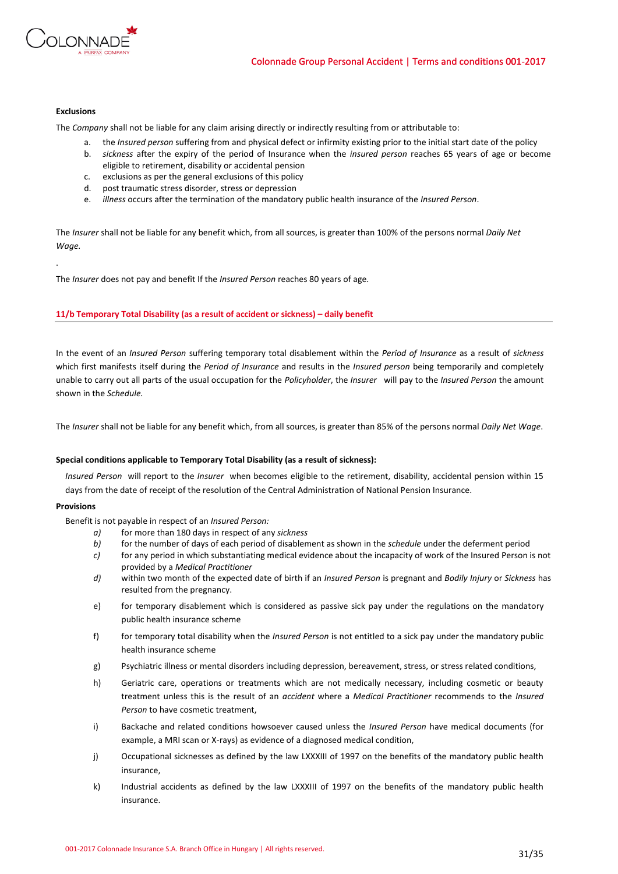

# **Exclusions**

.

The *Company* shall not be liable for any claim arising directly or indirectly resulting from or attributable to:

- a. the *Insured person* suffering from and physical defect or infirmity existing prior to the initial start date of the policy
- b. *sickness* after the expiry of the period of Insurance when the *insured person* reaches 65 years of age or become eligible to retirement, disability or accidental pension
- c. exclusions as per the general exclusions of this policy
- d. post traumatic stress disorder, stress or depression
- e. *illness* occurs after the termination of the mandatory public health insurance of the *Insured Person*.

The *Insurer* shall not be liable for any benefit which, from all sources, is greater than 100% of the persons normal *Daily Net Wage.*

The *Insurer* does not pay and benefit If the *Insured Person* reaches 80 years of age.

# **11/b Temporary Total Disability (as a result of accident or sickness) – daily benefit**

In the event of an *Insured Person* suffering temporary total disablement within the *Period of Insurance* as a result of *sickness* which first manifests itself during the *Period of Insurance* and results in the *Insured person* being temporarily and completely unable to carry out all parts of the usual occupation for the *Policyholder*, the *Insurer* will pay to the *Insured Person* the amount shown in the *Schedule.* 

The *Insurer* shall not be liable for any benefit which, from all sources, is greater than 85% of the persons normal *Daily Net Wage*.

# **Special conditions applicable to Temporary Total Disability (as a result of sickness):**

*Insured Person* will report to the *Insurer* when becomes eligible to the retirement, disability, accidental pension within 15 days from the date of receipt of the resolution of the Central Administration of National Pension Insurance.

### **Provisions**

Benefit is not payable in respect of an *Insured Person:*

- *a)* for more than 180 days in respect of any *sickness*
- *b)* for the number of days of each period of disablement as shown in the *schedule* under the deferment period
- *c)* for any period in which substantiating medical evidence about the incapacity of work of the Insured Person is not provided by a *Medical Practitioner*
- *d)* within two month of the expected date of birth if an *Insured Person* is pregnant and *Bodily Injury* or *Sickness* has resulted from the pregnancy.
- e) for temporary disablement which is considered as passive sick pay under the regulations on the mandatory public health insurance scheme
- f) for temporary total disability when the *Insured Person* is not entitled to a sick pay under the mandatory public health insurance scheme
- g) Psychiatric illness or mental disorders including depression, bereavement, stress, or stress related conditions,
- h) Geriatric care, operations or treatments which are not medically necessary, including cosmetic or beauty treatment unless this is the result of an *accident* where a *Medical Practitioner* recommends to the *Insured Person* to have cosmetic treatment,
- i) Backache and related conditions howsoever caused unless the *Insured Person* have medical documents (for example, a MRI scan or X-rays) as evidence of a diagnosed medical condition,
- j) Occupational sicknesses as defined by the law LXXXIII of 1997 on the benefits of the mandatory public health insurance,
- k) Industrial accidents as defined by the law LXXXIII of 1997 on the benefits of the mandatory public health insurance.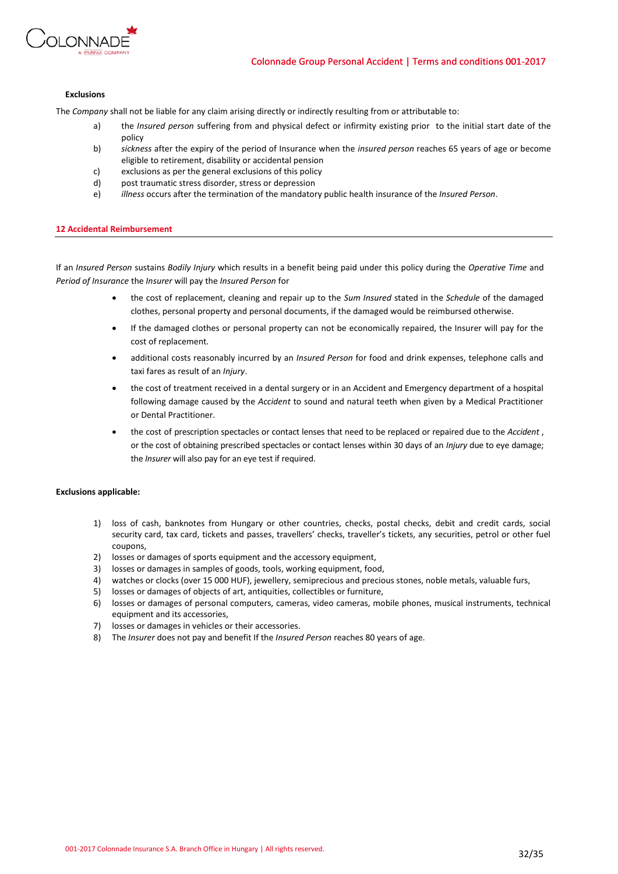

### **Exclusions**

The *Company* shall not be liable for any claim arising directly or indirectly resulting from or attributable to:

- a) the *Insured person* suffering from and physical defect or infirmity existing prior to the initial start date of the policy
- b) *sickness* after the expiry of the period of Insurance when the *insured person* reaches 65 years of age or become eligible to retirement, disability or accidental pension
- c) exclusions as per the general exclusions of this policy
- d) post traumatic stress disorder, stress or depression
- e) *illness* occurs after the termination of the mandatory public health insurance of the *Insured Person*.

# **12 Accidental Reimbursement**

If an *Insured Person* sustains *Bodily Injury* which results in a benefit being paid under this policy during the *Operative Time* and *Period of Insurance* the *Insurer* will pay the *Insured Person* for

- the cost of replacement, cleaning and repair up to the *Sum Insured* stated in the *Schedule* of the damaged clothes, personal property and personal documents, if the damaged would be reimbursed otherwise.
- If the damaged clothes or personal property can not be economically repaired, the Insurer will pay for the cost of replacement.
- additional costs reasonably incurred by an *Insured Person* for food and drink expenses, telephone calls and taxi fares as result of an *Injury*.
- the cost of treatment received in a dental surgery or in an Accident and Emergency department of a hospital following damage caused by the *Accident* to sound and natural teeth when given by a Medical Practitioner or Dental Practitioner.
- the cost of prescription spectacles or contact lenses that need to be replaced or repaired due to the *Accident* , or the cost of obtaining prescribed spectacles or contact lenses within 30 days of an *Injury* due to eye damage; the *Insurer* will also pay for an eye test if required.

### **Exclusions applicable:**

- 1) loss of cash, banknotes from Hungary or other countries, checks, postal checks, debit and credit cards, social security card, tax card, tickets and passes, travellers' checks, traveller's tickets, any securities, petrol or other fuel coupons,
- 2) losses or damages of sports equipment and the accessory equipment,
- 3) losses or damages in samples of goods, tools, working equipment, food,
- 4) watches or clocks (over 15 000 HUF), jewellery, semiprecious and precious stones, noble metals, valuable furs,
- 5) losses or damages of objects of art, antiquities, collectibles or furniture,
- 6) losses or damages of personal computers, cameras, video cameras, mobile phones, musical instruments, technical equipment and its accessories,
- 7) losses or damages in vehicles or their accessories.
- 8) The *Insurer* does not pay and benefit If the *Insured Person* reaches 80 years of age.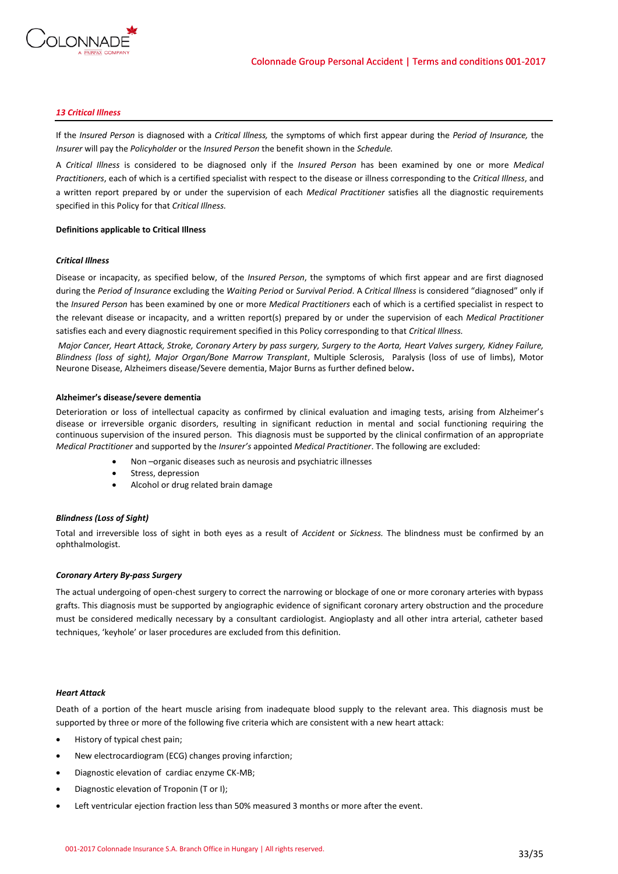

# *13 Critical Illness*

If the *Insured Person* is diagnosed with a *Critical Illness,* the symptoms of which first appear during the *Period of Insurance,* the *Insurer* will pay the *Policyholder* or the *Insured Person* the benefit shown in the *Schedule.*

A *Critical Illness* is considered to be diagnosed only if the *Insured Person* has been examined by one or more *Medical Practitioners*, each of which is a certified specialist with respect to the disease or illness corresponding to the *Critical Illness*, and a written report prepared by or under the supervision of each *Medical Practitioner* satisfies all the diagnostic requirements specified in this Policy for that *Critical Illness.*

### **Definitions applicable to Critical Illness**

# *Critical Illness*

Disease or incapacity, as specified below, of the *Insured Person*, the symptoms of which first appear and are first diagnosed during the *Period of Insurance* excluding the *Waiting Period* or *Survival Period*. A *Critical Illness* is considered "diagnosed" only if the *Insured Person* has been examined by one or more *Medical Practitioners* each of which is a certified specialist in respect to the relevant disease or incapacity, and a written report(s) prepared by or under the supervision of each *Medical Practitioner* satisfies each and every diagnostic requirement specified in this Policy corresponding to that *Critical Illness.*

*Major Cancer, Heart Attack, Stroke, Coronary Artery by pass surgery, Surgery to the Aorta, Heart Valves surgery, Kidney Failure, Blindness (loss of sight), Major Organ/Bone Marrow Transplant*, Multiple Sclerosis, Paralysis (loss of use of limbs), Motor Neurone Disease, Alzheimers disease/Severe dementia, Major Burns as further defined below**.**

### **Alzheimer's disease/severe dementia**

Deterioration or loss of intellectual capacity as confirmed by clinical evaluation and imaging tests, arising from Alzheimer's disease or irreversible organic disorders, resulting in significant reduction in mental and social functioning requiring the continuous supervision of the insured person. This diagnosis must be supported by the clinical confirmation of an appropriate *Medical Practitioner* and supported by the *Insurer's* appointed *Medical Practitioner*. The following are excluded:

- Non –organic diseases such as neurosis and psychiatric illnesses
- Stress, depression
- Alcohol or drug related brain damage

### *Blindness (Loss of Sight)*

Total and irreversible loss of sight in both eyes as a result of *Accident* or *Sickness.* The blindness must be confirmed by an ophthalmologist.

### *Coronary Artery By-pass Surgery*

The actual undergoing of open-chest surgery to correct the narrowing or blockage of one or more coronary arteries with bypass grafts. This diagnosis must be supported by angiographic evidence of significant coronary artery obstruction and the procedure must be considered medically necessary by a consultant cardiologist. Angioplasty and all other intra arterial, catheter based techniques, 'keyhole' or laser procedures are excluded from this definition.

### *Heart Attack*

Death of a portion of the heart muscle arising from inadequate blood supply to the relevant area. This diagnosis must be supported by three or more of the following five criteria which are consistent with a new heart attack:

- History of typical chest pain;
- New electrocardiogram (ECG) changes proving infarction;
- Diagnostic elevation of cardiac enzyme CK-MB;
- Diagnostic elevation of Troponin (T or I);
- Left ventricular ejection fraction less than 50% measured 3 months or more after the event.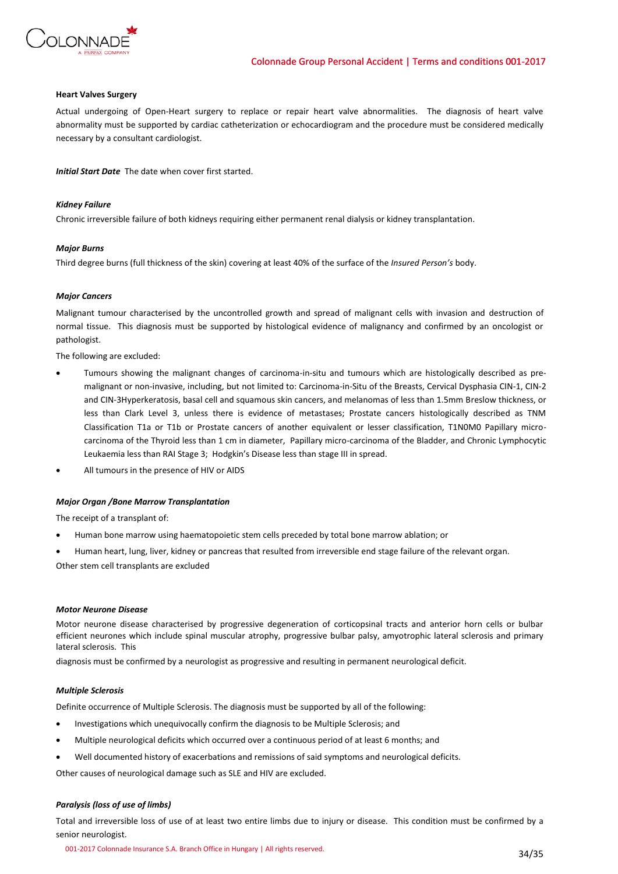

### **Heart Valves Surgery**

Actual undergoing of Open-Heart surgery to replace or repair heart valve abnormalities. The diagnosis of heart valve abnormality must be supported by cardiac catheterization or echocardiogram and the procedure must be considered medically necessary by a consultant cardiologist.

*Initial Start Date* The date when cover first started.

### *Kidney Failure*

Chronic irreversible failure of both kidneys requiring either permanent renal dialysis or kidney transplantation.

### *Major Burns*

Third degree burns (full thickness of the skin) covering at least 40% of the surface of the *Insured Person's* body.

### *Major Cancers*

Malignant tumour characterised by the uncontrolled growth and spread of malignant cells with invasion and destruction of normal tissue. This diagnosis must be supported by histological evidence of malignancy and confirmed by an oncologist or pathologist.

The following are excluded:

- Tumours showing the malignant changes of carcinoma-in-situ and tumours which are histologically described as premalignant or non-invasive, including, but not limited to: Carcinoma-in-Situ of the Breasts, Cervical Dysphasia CIN-1, CIN-2 and CIN-3Hyperkeratosis, basal cell and squamous skin cancers, and melanomas of less than 1.5mm Breslow thickness, or less than Clark Level 3, unless there is evidence of metastases; Prostate cancers histologically described as TNM Classification T1a or T1b or Prostate cancers of another equivalent or lesser classification, T1N0M0 Papillary microcarcinoma of the Thyroid less than 1 cm in diameter, Papillary micro-carcinoma of the Bladder, and Chronic Lymphocytic Leukaemia less than RAI Stage 3; Hodgkin's Disease less than stage III in spread.
- All tumours in the presence of HIV or AIDS

### *Major Organ /Bone Marrow Transplantation*

The receipt of a transplant of:

- Human bone marrow using haematopoietic stem cells preceded by total bone marrow ablation; or
- Human heart, lung, liver, kidney or pancreas that resulted from irreversible end stage failure of the relevant organ.

Other stem cell transplants are excluded

# *Motor Neurone Disease*

Motor neurone disease characterised by progressive degeneration of corticopsinal tracts and anterior horn cells or bulbar efficient neurones which include spinal muscular atrophy, progressive bulbar palsy, amyotrophic lateral sclerosis and primary lateral sclerosis. This

diagnosis must be confirmed by a neurologist as progressive and resulting in permanent neurological deficit.

# *Multiple Sclerosis*

Definite occurrence of Multiple Sclerosis. The diagnosis must be supported by all of the following:

- Investigations which unequivocally confirm the diagnosis to be Multiple Sclerosis; and
- Multiple neurological deficits which occurred over a continuous period of at least 6 months; and
- Well documented history of exacerbations and remissions of said symptoms and neurological deficits.

Other causes of neurological damage such as SLE and HIV are excluded.

# *Paralysis (loss of use of limbs)*

Total and irreversible loss of use of at least two entire limbs due to injury or disease. This condition must be confirmed by a senior neurologist.

001-2017 Colonnade Insurance S.A. Branch Office in Hungary | All rights reserved. 34/35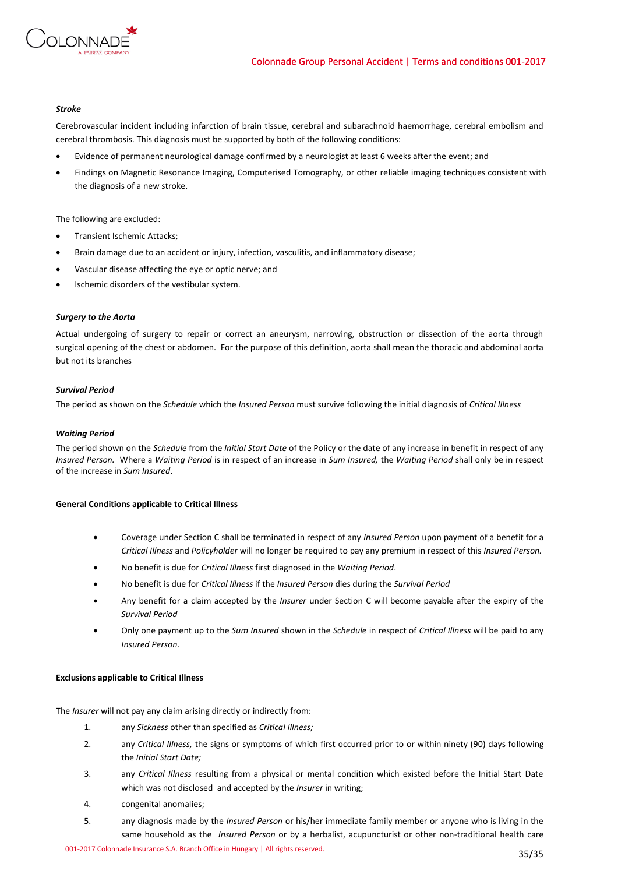

# *Stroke*

Cerebrovascular incident including infarction of brain tissue, cerebral and subarachnoid haemorrhage, cerebral embolism and cerebral thrombosis. This diagnosis must be supported by both of the following conditions:

- Evidence of permanent neurological damage confirmed by a neurologist at least 6 weeks after the event; and
- Findings on Magnetic Resonance Imaging, Computerised Tomography, or other reliable imaging techniques consistent with the diagnosis of a new stroke.

The following are excluded:

- Transient Ischemic Attacks;
- Brain damage due to an accident or injury, infection, vasculitis, and inflammatory disease;
- Vascular disease affecting the eye or optic nerve; and
- Ischemic disorders of the vestibular system.

# *Surgery to the Aorta*

Actual undergoing of surgery to repair or correct an aneurysm, narrowing, obstruction or dissection of the aorta through surgical opening of the chest or abdomen. For the purpose of this definition, aorta shall mean the thoracic and abdominal aorta but not its branches

# *Survival Period*

The period as shown on the *Schedule* which the *Insured Person* must survive following the initial diagnosis of *Critical Illness*

# *Waiting Period*

The period shown on the *Schedule* from the *Initial Start Date* of the Policy or the date of any increase in benefit in respect of any *Insured Person.* Where a *Waiting Period* is in respect of an increase in *Sum Insured,* the *Waiting Period* shall only be in respect of the increase in *Sum Insured*.

# **General Conditions applicable to Critical Illness**

- Coverage under Section C shall be terminated in respect of any *Insured Person* upon payment of a benefit for a *Critical Illness* and *Policyholder* will no longer be required to pay any premium in respect of this *Insured Person.*
- No benefit is due for *Critical Illness* first diagnosed in the *Waiting Period*.
- No benefit is due for *Critical Illness* if the *Insured Person* dies during the *Survival Period*
- Any benefit for a claim accepted by the *Insurer* under Section C will become payable after the expiry of the *Survival Period*
- Only one payment up to the *Sum Insured* shown in the *Schedule* in respect of *Critical Illness* will be paid to any *Insured Person.*

### **Exclusions applicable to Critical Illness**

The *Insurer* will not pay any claim arising directly or indirectly from:

- 1. any *Sickness* other than specified as *Critical Illness;*
- 2. any *Critical Illness,* the signs or symptoms of which first occurred prior to or within ninety (90) days following the *Initial Start Date;*
- 3. any *Critical Illness* resulting from a physical or mental condition which existed before the Initial Start Date which was not disclosed and accepted by the *Insurer* in writing;
- 4. congenital anomalies;
- 5. any diagnosis made by the *Insured Person* or his/her immediate family member or anyone who is living in the same household as the *Insured Person* or by a herbalist, acupuncturist or other non-traditional health care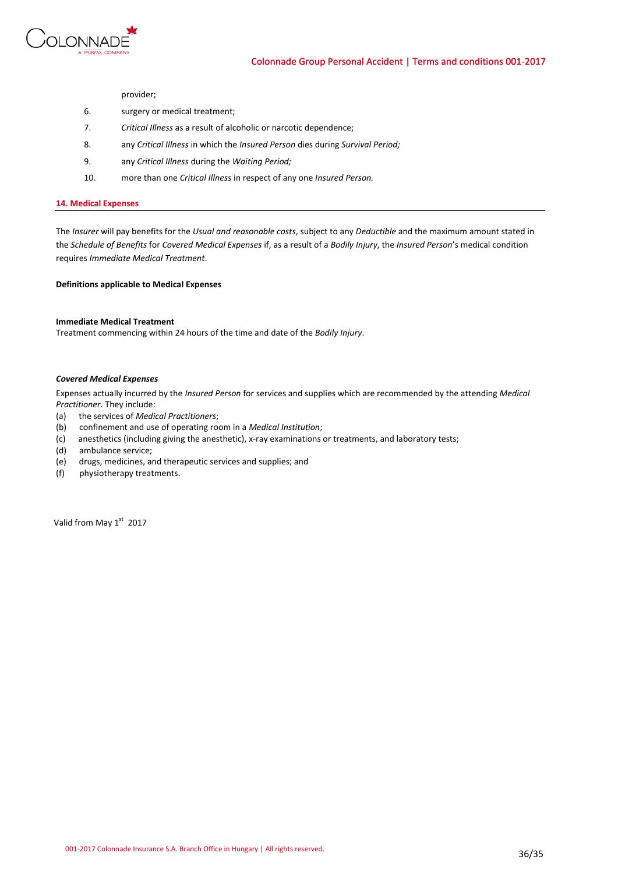

provider;

- 6. surgery or medical treatment;
- 7. *Critical Illness* as a result of alcoholic or narcotic dependence;
- 8. any *Critical Illness* in which the *Insured Person* dies during *Survival Period;*
- 9. any *Critical Illness* during the *Waiting Period;*
- 10. more than one *Critical Illness* in respect of any one *Insured Person.*

# **14. Medical Expenses**

The *Insurer* will pay benefits for the *Usual and reasonable costs*, subject to any *Deductible* and the maximum amount stated in the *Schedule of Benefits* for *Covered Medical Expenses* if, as a result of a *Bodily Injury*, the *Insured Person*'s medical condition requires *Immediate Medical Treatment*.

**Definitions applicable to Medical Expenses**

# **Immediate Medical Treatment**

Treatment commencing within 24 hours of the time and date of the *Bodily Injury*.

### *Covered Medical Expenses*

Expenses actually incurred by the *Insured Person* for services and supplies which are recommended by the attending *Medical Practitioner*. They include:

- (a) the services of *Medical Practitioners*;
- (b) confinement and use of operating room in a *Medical Institution*;
- (c) anesthetics (including giving the anesthetic), x-ray examinations or treatments, and laboratory tests;
- (d) ambulance service;
- (e) drugs, medicines, and therapeutic services and supplies; and
- (f) physiotherapy treatments.

Valid from May 1<sup>st</sup> 2017